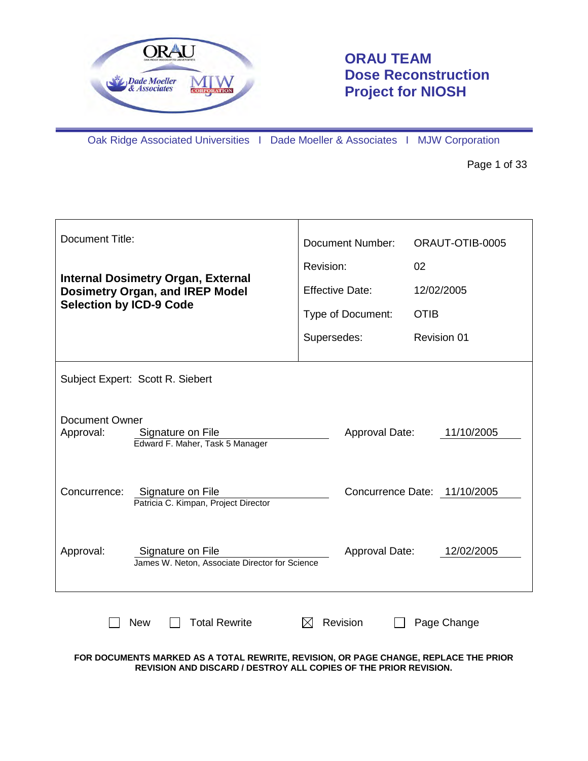

# **ORAU TEAM Dose Reconstruction Project for NIOSH**

Oak Ridge Associated Universities I Dade Moeller & Associates I MJW Corporation

Page 1 of 33

| <b>Document Title:</b>                                                                     | Document Number:       | ORAUT-OTIB-0005              |  |  |  |
|--------------------------------------------------------------------------------------------|------------------------|------------------------------|--|--|--|
| <b>Internal Dosimetry Organ, External</b>                                                  | Revision:              | 02                           |  |  |  |
| <b>Dosimetry Organ, and IREP Model</b>                                                     | <b>Effective Date:</b> | 12/02/2005                   |  |  |  |
| <b>Selection by ICD-9 Code</b>                                                             | Type of Document:      | <b>OTIB</b>                  |  |  |  |
|                                                                                            | Supersedes:            | <b>Revision 01</b>           |  |  |  |
| Subject Expert: Scott R. Siebert                                                           |                        |                              |  |  |  |
| <b>Document Owner</b><br>Approval:<br>Signature on File<br>Edward F. Maher, Task 5 Manager | Approval Date:         | 11/10/2005                   |  |  |  |
| Concurrence:<br>Signature on File<br>Patricia C. Kimpan, Project Director                  |                        | Concurrence Date: 11/10/2005 |  |  |  |
| Approval:<br>Signature on File<br>James W. Neton, Associate Director for Science           | <b>Approval Date:</b>  | 12/02/2005                   |  |  |  |
| <b>Total Rewrite</b><br><b>New</b>                                                         | Revision               | Page Change                  |  |  |  |

**FOR DOCUMENTS MARKED AS A TOTAL REWRITE, REVISION, OR PAGE CHANGE, REPLACE THE PRIOR REVISION AND DISCARD / DESTROY ALL COPIES OF THE PRIOR REVISION.**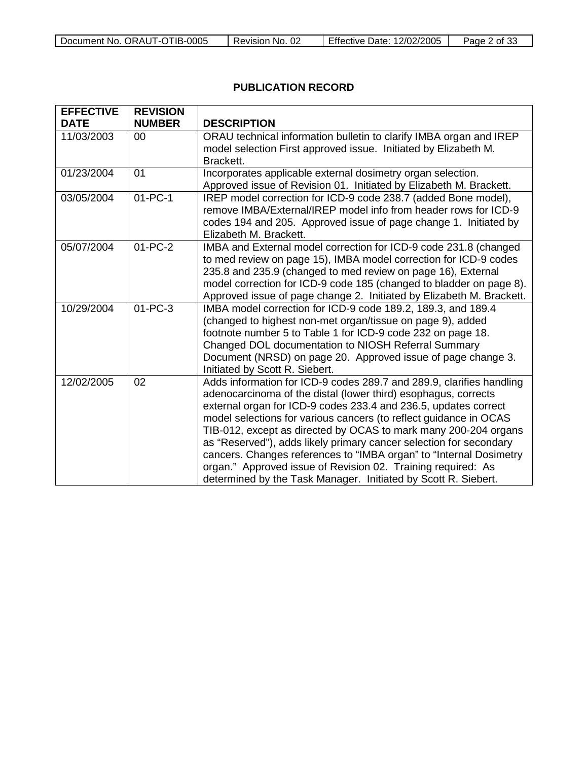| Document No. ORAUT-OTIB-0005 | Revision No. 02 | <b>Effective Date: 12/02/2005</b> | Page ∠<br>of 33 |
|------------------------------|-----------------|-----------------------------------|-----------------|

## **PUBLICATION RECORD**

| <b>EFFECTIVE</b>          | <b>REVISION</b>     |                                                                                                |
|---------------------------|---------------------|------------------------------------------------------------------------------------------------|
| <b>DATE</b><br>11/03/2003 | <b>NUMBER</b><br>00 | <b>DESCRIPTION</b><br>ORAU technical information bulletin to clarify IMBA organ and IREP       |
|                           |                     | model selection First approved issue. Initiated by Elizabeth M.                                |
|                           |                     | Brackett.                                                                                      |
| 01/23/2004                | 01                  | Incorporates applicable external dosimetry organ selection.                                    |
|                           |                     | Approved issue of Revision 01. Initiated by Elizabeth M. Brackett.                             |
| 03/05/2004                | $01 - PC - 1$       | IREP model correction for ICD-9 code 238.7 (added Bone model),                                 |
|                           |                     | remove IMBA/External/IREP model info from header rows for ICD-9                                |
|                           |                     | codes 194 and 205. Approved issue of page change 1. Initiated by                               |
| 05/07/2004                | $01 - PC - 2$       | Elizabeth M. Brackett.<br>IMBA and External model correction for ICD-9 code 231.8 (changed     |
|                           |                     | to med review on page 15), IMBA model correction for ICD-9 codes                               |
|                           |                     | 235.8 and 235.9 (changed to med review on page 16), External                                   |
|                           |                     | model correction for ICD-9 code 185 (changed to bladder on page 8).                            |
|                           |                     | Approved issue of page change 2. Initiated by Elizabeth M. Brackett.                           |
| 10/29/2004                | $01 - PC - 3$       | IMBA model correction for ICD-9 code 189.2, 189.3, and 189.4                                   |
|                           |                     | (changed to highest non-met organ/tissue on page 9), added                                     |
|                           |                     | footnote number 5 to Table 1 for ICD-9 code 232 on page 18.                                    |
|                           |                     | Changed DOL documentation to NIOSH Referral Summary                                            |
|                           |                     | Document (NRSD) on page 20. Approved issue of page change 3.<br>Initiated by Scott R. Siebert. |
| 12/02/2005                | 02                  | Adds information for ICD-9 codes 289.7 and 289.9, clarifies handling                           |
|                           |                     | adenocarcinoma of the distal (lower third) esophagus, corrects                                 |
|                           |                     | external organ for ICD-9 codes 233.4 and 236.5, updates correct                                |
|                           |                     | model selections for various cancers (to reflect guidance in OCAS                              |
|                           |                     | TIB-012, except as directed by OCAS to mark many 200-204 organs                                |
|                           |                     | as "Reserved"), adds likely primary cancer selection for secondary                             |
|                           |                     | cancers. Changes references to "IMBA organ" to "Internal Dosimetry                             |
|                           |                     | organ." Approved issue of Revision 02. Training required: As                                   |
|                           |                     | determined by the Task Manager. Initiated by Scott R. Siebert.                                 |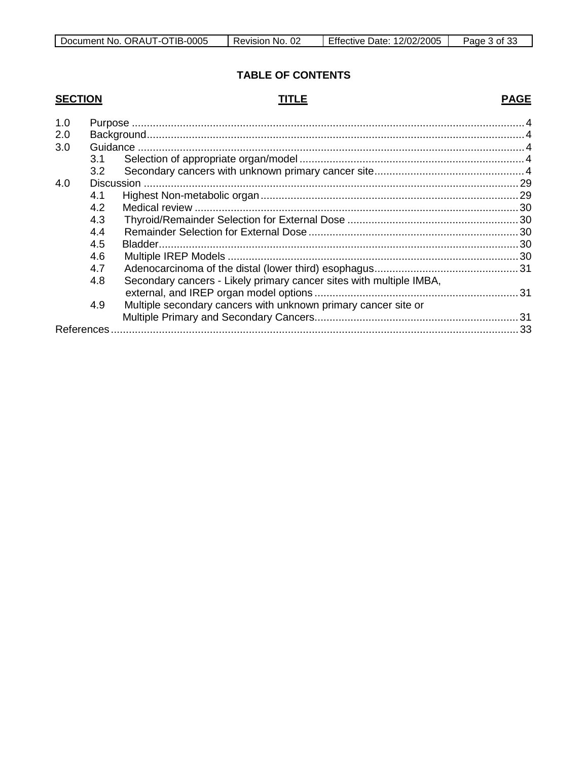## **TABLE OF CONTENTS**

## **SECTION**

## **TITLE**

## **PAGE**

| 1.0 |             |                                                                     |  |
|-----|-------------|---------------------------------------------------------------------|--|
| 2.0 |             |                                                                     |  |
| 3.0 |             |                                                                     |  |
|     | 3.1         |                                                                     |  |
|     | 3.2         |                                                                     |  |
| 4.0 |             |                                                                     |  |
|     | 4.1         |                                                                     |  |
|     | 4.2         |                                                                     |  |
|     | 4.3         |                                                                     |  |
|     | 4.4         |                                                                     |  |
|     | 4.5         |                                                                     |  |
|     | 4.6         |                                                                     |  |
|     | 4.7         |                                                                     |  |
|     | 4.8         | Secondary cancers - Likely primary cancer sites with multiple IMBA, |  |
|     |             |                                                                     |  |
|     | 4.9         | Multiple secondary cancers with unknown primary cancer site or      |  |
|     |             |                                                                     |  |
|     | References. |                                                                     |  |
|     |             |                                                                     |  |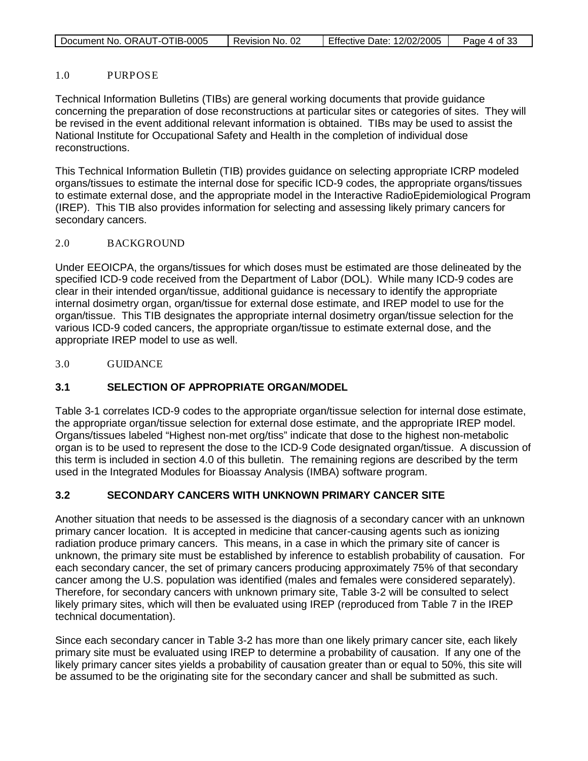| Document No. ORAUT-OTIB-0005 | Revision No. 02 | <b>Effective Date: 12/02/2005</b> | Page 4 of 33 |
|------------------------------|-----------------|-----------------------------------|--------------|
|                              |                 |                                   |              |

#### 1.0 PURPOSE

Technical Information Bulletins (TIBs) are general working documents that provide guidance concerning the preparation of dose reconstructions at particular sites or categories of sites. They will be revised in the event additional relevant information is obtained. TIBs may be used to assist the National Institute for Occupational Safety and Health in the completion of individual dose reconstructions.

This Technical Information Bulletin (TIB) provides guidance on selecting appropriate ICRP modeled organs/tissues to estimate the internal dose for specific ICD-9 codes, the appropriate organs/tissues to estimate external dose, and the appropriate model in the Interactive RadioEpidemiological Program (IREP). This TIB also provides information for selecting and assessing likely primary cancers for secondary cancers.

#### 2.0 BACKGROUND

Under EEOICPA, the organs/tissues for which doses must be estimated are those delineated by the specified ICD-9 code received from the Department of Labor (DOL). While many ICD-9 codes are clear in their intended organ/tissue, additional guidance is necessary to identify the appropriate internal dosimetry organ, organ/tissue for external dose estimate, and IREP model to use for the organ/tissue. This TIB designates the appropriate internal dosimetry organ/tissue selection for the various ICD-9 coded cancers, the appropriate organ/tissue to estimate external dose, and the appropriate IREP model to use as well.

3.0 GUIDANCE

### **3.1 SELECTION OF APPROPRIATE ORGAN/MODEL**

Table 3-1 correlates ICD-9 codes to the appropriate organ/tissue selection for internal dose estimate, the appropriate organ/tissue selection for external dose estimate, and the appropriate IREP model. Organs/tissues labeled "Highest non-met org/tiss" indicate that dose to the highest non-metabolic organ is to be used to represent the dose to the ICD-9 Code designated organ/tissue. A discussion of this term is included in section 4.0 of this bulletin. The remaining regions are described by the term used in the Integrated Modules for Bioassay Analysis (IMBA) software program.

### **3.2 SECONDARY CANCERS WITH UNKNOWN PRIMARY CANCER SITE**

Another situation that needs to be assessed is the diagnosis of a secondary cancer with an unknown primary cancer location. It is accepted in medicine that cancer-causing agents such as ionizing radiation produce primary cancers. This means, in a case in which the primary site of cancer is unknown, the primary site must be established by inference to establish probability of causation. For each secondary cancer, the set of primary cancers producing approximately 75% of that secondary cancer among the U.S. population was identified (males and females were considered separately). Therefore, for secondary cancers with unknown primary site, Table 3-2 will be consulted to select likely primary sites, which will then be evaluated using IREP (reproduced from Table 7 in the IREP technical documentation).

Since each secondary cancer in Table 3-2 has more than one likely primary cancer site, each likely primary site must be evaluated using IREP to determine a probability of causation. If any one of the likely primary cancer sites yields a probability of causation greater than or equal to 50%, this site will be assumed to be the originating site for the secondary cancer and shall be submitted as such.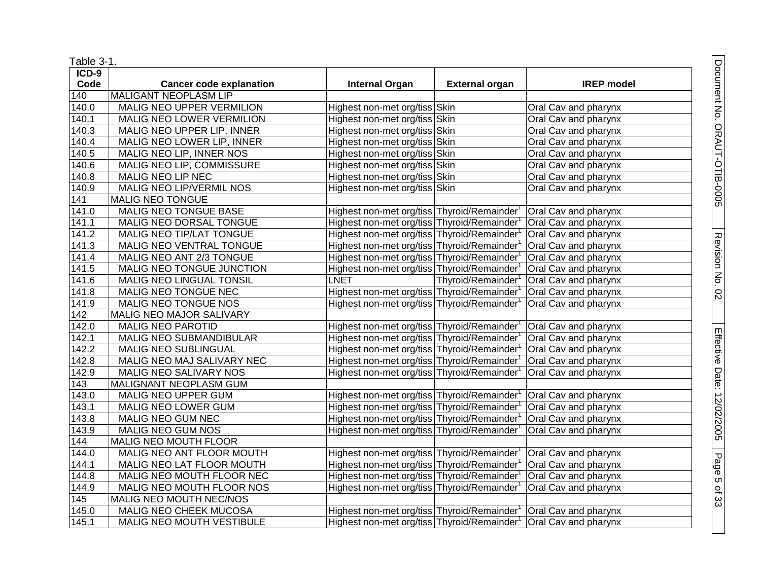| Table 3-1.         |                                |                                                                              |                       |                      |
|--------------------|--------------------------------|------------------------------------------------------------------------------|-----------------------|----------------------|
| $ICD-9$            |                                |                                                                              |                       |                      |
| Code               | <b>Cancer code explanation</b> | <b>Internal Organ</b>                                                        | <b>External organ</b> | <b>IREP</b> model    |
| $\overline{140}$   | <b>MALIGANT NEOPLASM LIP</b>   |                                                                              |                       |                      |
| 140.0              | MALIG NEO UPPER VERMILION      | Highest non-met org/tiss Skin                                                |                       | Oral Cav and pharynx |
| 140.1              | MALIG NEO LOWER VERMILION      | Highest non-met org/tiss Skin                                                |                       | Oral Cav and pharynx |
| 140.3              | MALIG NEO UPPER LIP, INNER     | Highest non-met org/tiss Skin                                                |                       | Oral Cav and pharynx |
| 140.4              | MALIG NEO LOWER LIP, INNER     | Highest non-met org/tiss Skin                                                |                       | Oral Cav and pharynx |
| 140.5              | MALIG NEO LIP, INNER NOS       | Highest non-met org/tiss Skin                                                |                       | Oral Cav and pharynx |
| 140.6              | MALIG NEO LIP, COMMISSURE      | Highest non-met org/tiss Skin                                                |                       | Oral Cav and pharynx |
| $\overline{140.8}$ | MALIG NEO LIP NEC              | Highest non-met org/tiss Skin                                                |                       | Oral Cav and pharynx |
| 140.9              | MALIG NEO LIP/VERMIL NOS       | Highest non-met org/tiss Skin                                                |                       | Oral Cav and pharynx |
| $\overline{141}$   | MALIG NEO TONGUE               |                                                                              |                       |                      |
| 141.0              | <b>MALIG NEO TONGUE BASE</b>   | Highest non-met org/tiss Thyroid/Remainder <sup>1</sup>                      |                       | Oral Cav and pharynx |
| 141.1              | MALIG NEO DORSAL TONGUE        | Highest non-met org/tiss Thyroid/Remainder <sup>1</sup>                      |                       | Oral Cav and pharynx |
| 141.2              | MALIG NEO TIP/LAT TONGUE       | Highest non-met org/tiss Thyroid/Remainder                                   |                       | Oral Cav and pharynx |
| $\overline{141.3}$ | MALIG NEO VENTRAL TONGUE       | Highest non-met org/tiss Thyroid/Remainder                                   |                       | Oral Cav and pharynx |
| 141.4              | MALIG NEO ANT 2/3 TONGUE       | Highest non-met org/tiss Thyroid/Remainder <sup>1</sup>                      |                       | Oral Cav and pharynx |
| 141.5              | MALIG NEO TONGUE JUNCTION      | Highest non-met org/tiss Thyroid/Remainder                                   |                       | Oral Cav and pharynx |
| 141.6              | MALIG NEO LINGUAL TONSIL       | <b>LNET</b>                                                                  | Thyroid/Remainder     | Oral Cav and pharynx |
| 141.8              | MALIG NEO TONGUE NEC           | Highest non-met org/tiss Thyroid/Remainder                                   |                       | Oral Cav and pharynx |
| 141.9              | MALIG NEO TONGUE NOS           | Highest non-met org/tiss Thyroid/Remainder                                   |                       | Oral Cav and pharynx |
| 142                | MALIG NEO MAJOR SALIVARY       |                                                                              |                       |                      |
| 142.0              | MALIG NEO PAROTID              | Highest non-met org/tiss Thyroid/Remainder <sup>1</sup>                      |                       | Oral Cav and pharynx |
| 142.1              | MALIG NEO SUBMANDIBULAR        | Highest non-met org/tiss Thyroid/Remainder                                   |                       | Oral Cav and pharynx |
| 142.2              | MALIG NEO SUBLINGUAL           | Highest non-met org/tiss Thyroid/Remainder                                   |                       | Oral Cav and pharynx |
| 142.8              | MALIG NEO MAJ SALIVARY NEC     | Highest non-met org/tiss Thyroid/Remainder <sup>1</sup>                      |                       | Oral Cav and pharynx |
| 142.9              | MALIG NEO SALIVARY NOS         | Highest non-met org/tiss Thyroid/Remainder                                   |                       | Oral Cav and pharynx |
| $\overline{143}$   | MALIGNANT NEOPLASM GUM         |                                                                              |                       |                      |
| 143.0              | MALIG NEO UPPER GUM            | Highest non-met org/tiss Thyroid/Remainder <sup>1</sup>                      |                       | Oral Cav and pharynx |
| 143.1              | MALIG NEO LOWER GUM            | Highest non-met org/tiss Thyroid/Remainder                                   |                       | Oral Cav and pharynx |
| 143.8              | MALIG NEO GUM NEC              | Highest non-met org/tiss Thyroid/Remainder                                   |                       | Oral Cav and pharynx |
| 143.9              | MALIG NEO GUM NOS              | Highest non-met org/tiss Thyroid/Remainder <sup>1</sup>                      |                       | Oral Cav and pharynx |
| 144                | MALIG NEO MOUTH FLOOR          |                                                                              |                       |                      |
| 144.0              | MALIG NEO ANT FLOOR MOUTH      | Highest non-met org/tiss Thyroid/Remainder <sup>1</sup>                      |                       | Oral Cav and pharynx |
| $\overline{144.1}$ | MALIG NEO LAT FLOOR MOUTH      | Highest non-met org/tiss Thyroid/Remainder <sup>1</sup>                      |                       | Oral Cav and pharynx |
| 144.8              | MALIG NEO MOUTH FLOOR NEC      | Highest non-met org/tiss Thyroid/Remainder                                   |                       | Oral Cav and pharynx |
| $\sqrt{144.9}$     | MALIG NEO MOUTH FLOOR NOS      | Highest non-met org/tiss Thyroid/Remainder <sup>1</sup>                      |                       | Oral Cav and pharynx |
| $\overline{1}$ 45  | MALIG NEO MOUTH NEC/NOS        |                                                                              |                       |                      |
| 145.0              | MALIG NEO CHEEK MUCOSA         | Highest non-met org/tiss Thyroid/Remainder <sup>1</sup> Oral Cav and pharynx |                       |                      |
| 145.1              | MALIG NEO MOUTH VESTIBULE      | Highest non-met org/tiss Thyroid/Remainder <sup>1</sup>                      |                       | Oral Cav and pharynx |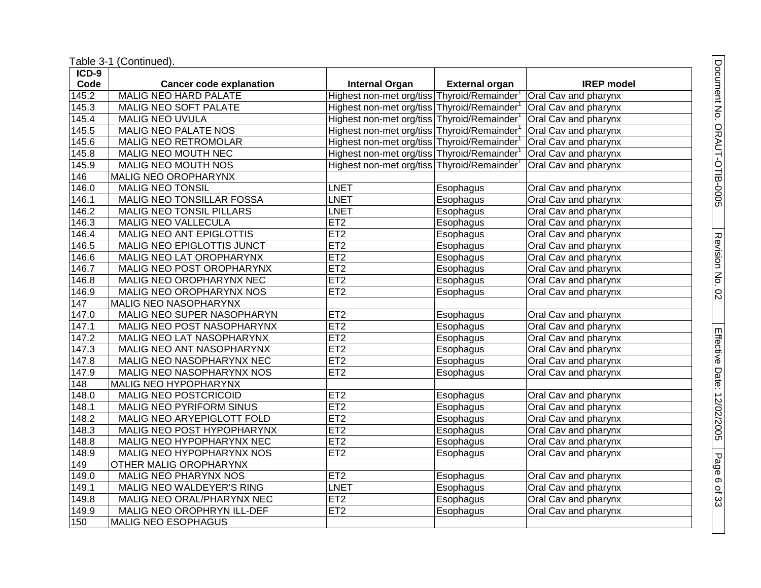Table 3 -1 (Continued).

| ICD-9 |                                   |                                            |                       |                      |
|-------|-----------------------------------|--------------------------------------------|-----------------------|----------------------|
| Code  | <b>Cancer code explanation</b>    | <b>Internal Organ</b>                      | <b>External organ</b> | <b>IREP</b> model    |
| 145.2 | <b>MALIG NEO HARD PALATE</b>      | Highest non-met org/tiss Thyroid/Remainder |                       | Oral Cav and pharynx |
| 145.3 | MALIG NEO SOFT PALATE             | Highest non-met org/tiss Thyroid/Remainder |                       | Oral Cav and pharynx |
| 145.4 | <b>MALIG NEO UVULA</b>            | Highest non-met org/tiss Thyroid/Remainder |                       | Oral Cav and pharynx |
| 145.5 | MALIG NEO PALATE NOS              | Highest non-met org/tiss Thyroid/Remainder |                       | Oral Cav and pharynx |
| 145.6 | MALIG NEO RETROMOLAR              | Highest non-met org/tiss Thyroid/Remainder |                       | Oral Cav and pharynx |
| 145.8 | MALIG NEO MOUTH NEC               | Highest non-met org/tiss Thyroid/Remainder |                       | Oral Cav and pharynx |
| 145.9 | MALIG NEO MOUTH NOS               | Highest non-met org/tiss Thyroid/Remainder |                       | Oral Cav and pharynx |
| 146   | <b>MALIG NEO OROPHARYNX</b>       |                                            |                       |                      |
| 146.0 | <b>MALIG NEO TONSIL</b>           | <b>LNET</b>                                | Esophagus             | Oral Cav and pharynx |
| 146.1 | <b>MALIG NEO TONSILLAR FOSSA</b>  | <b>LNET</b>                                | Esophagus             | Oral Cav and pharynx |
| 146.2 | MALIG NEO TONSIL PILLARS          | <b>LNET</b>                                | Esophagus             | Oral Cav and pharynx |
| 146.3 | MALIG NEO VALLECULA               | ET2                                        | Esophagus             | Oral Cav and pharynx |
| 146.4 | MALIG NEO ANT EPIGLOTTIS          | ET2                                        | Esophagus             | Oral Cav and pharynx |
| 146.5 | <b>MALIG NEO EPIGLOTTIS JUNCT</b> | ET2                                        | Esophagus             | Oral Cav and pharynx |
| 146.6 | MALIG NEO LAT OROPHARYNX          | ET2                                        | Esophagus             | Oral Cav and pharynx |
| 146.7 | MALIG NEO POST OROPHARYNX         | ET <sub>2</sub>                            | Esophagus             | Oral Cav and pharynx |
| 146.8 | MALIG NEO OROPHARYNX NEC          | ET <sub>2</sub>                            | Esophagus             | Oral Cav and pharynx |
| 146.9 | MALIG NEO OROPHARYNX NOS          | ET <sub>2</sub>                            | Esophagus             | Oral Cav and pharynx |
| 147   | MALIG NEO NASOPHARYNX             |                                            |                       |                      |
| 147.0 | MALIG NEO SUPER NASOPHARYN        | ET2                                        | Esophagus             | Oral Cav and pharynx |
| 147.1 | MALIG NEO POST NASOPHARYNX        | ET2                                        | Esophagus             | Oral Cav and pharynx |
| 147.2 | MALIG NEO LAT NASOPHARYNX         | ET2                                        | Esophagus             | Oral Cav and pharynx |
| 147.3 | MALIG NEO ANT NASOPHARYNX         | ET <sub>2</sub>                            | Esophagus             | Oral Cav and pharynx |
| 147.8 | MALIG NEO NASOPHARYNX NEC         | ET <sub>2</sub>                            | Esophagus             | Oral Cav and pharynx |
| 147.9 | MALIG NEO NASOPHARYNX NOS         | ET2                                        | Esophagus             | Oral Cav and pharynx |
| 148   | MALIG NEO HYPOPHARYNX             |                                            |                       |                      |
| 148.0 | MALIG NEO POSTCRICOID             | ET <sub>2</sub>                            | Esophagus             | Oral Cav and pharynx |
| 148.1 | MALIG NEO PYRIFORM SINUS          | ET2                                        | Esophagus             | Oral Cav and pharynx |
| 148.2 | MALIG NEO ARYEPIGLOTT FOLD        | ET2                                        | Esophagus             | Oral Cav and pharynx |
| 148.3 | MALIG NEO POST HYPOPHARYNX        | ET2                                        | Esophagus             | Oral Cav and pharynx |
| 148.8 | MALIG NEO HYPOPHARYNX NEC         | ET2                                        | Esophagus             | Oral Cav and pharynx |
| 148.9 | MALIG NEO HYPOPHARYNX NOS         | ET2                                        | Esophagus             | Oral Cav and pharynx |
| 149   | OTHER MALIG OROPHARYNX            |                                            |                       |                      |
| 149.0 | MALIG NEO PHARYNX NOS             | ET <sub>2</sub>                            | Esophagus             | Oral Cav and pharynx |
| 149.1 | MALIG NEO WALDEYER'S RING         | <b>LNET</b>                                | Esophagus             | Oral Cav and pharynx |
| 149.8 | MALIG NEO ORAL/PHARYNX NEC        | ET2                                        | Esophagus             | Oral Cav and pharynx |
| 149.9 | MALIG NEO OROPHRYN ILL-DEF        | ET <sub>2</sub>                            | Esophagus             | Oral Cav and pharynx |
| 150   | MALIG NEO ESOPHAGUS               |                                            |                       |                      |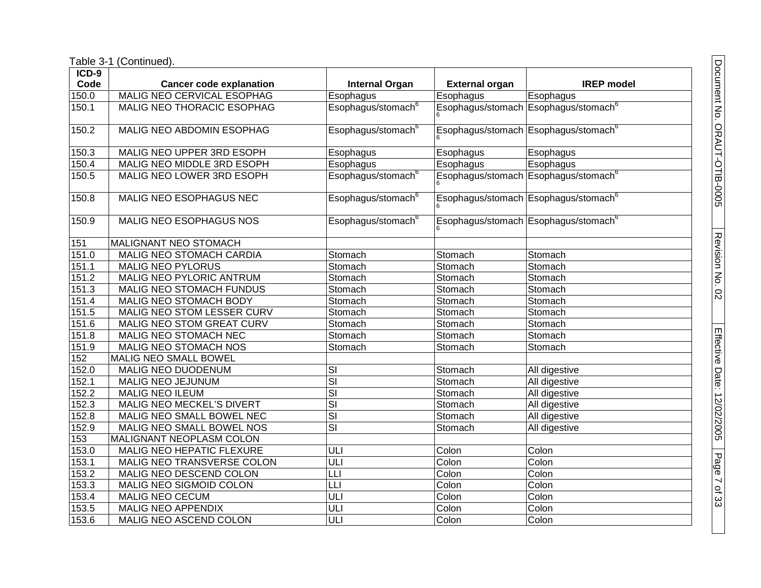| ICD-9 |                                  |                                |                       |                                                  |
|-------|----------------------------------|--------------------------------|-----------------------|--------------------------------------------------|
| Code  | <b>Cancer code explanation</b>   | <b>Internal Organ</b>          | <b>External organ</b> | <b>IREP</b> model                                |
| 150.0 | MALIG NEO CERVICAL ESOPHAG       | Esophagus                      | Esophagus             | Esophagus                                        |
| 150.1 | MALIG NEO THORACIC ESOPHAG       | Esophagus/stomach <sup>6</sup> |                       | Esophagus/stomach Esophagus/stomach <sup>6</sup> |
| 150.2 | MALIG NEO ABDOMIN ESOPHAG        | Esophagus/stomach <sup>6</sup> |                       | Esophagus/stomach Esophagus/stomach <sup>6</sup> |
| 150.3 | MALIG NEO UPPER 3RD ESOPH        | Esophagus                      | Esophagus             | Esophagus                                        |
| 150.4 | MALIG NEO MIDDLE 3RD ESOPH       | Esophagus                      | Esophagus             | Esophagus                                        |
| 150.5 | MALIG NEO LOWER 3RD ESOPH        | Esophagus/stomach <sup>6</sup> |                       | Esophagus/stomach Esophagus/stomach <sup>6</sup> |
| 150.8 | MALIG NEO ESOPHAGUS NEC          | Esophagus/stomach <sup>6</sup> |                       | Esophagus/stomach Esophagus/stomach <sup>6</sup> |
| 150.9 | MALIG NEO ESOPHAGUS NOS          | Esophagus/stomach <sup>6</sup> |                       | Esophagus/stomach Esophagus/stomach <sup>6</sup> |
| 151   | MALIGNANT NEO STOMACH            |                                |                       |                                                  |
| 151.0 | MALIG NEO STOMACH CARDIA         | Stomach                        | Stomach               | Stomach                                          |
| 151.1 | <b>MALIG NEO PYLORUS</b>         | Stomach                        | Stomach               | Stomach                                          |
| 151.2 | <b>MALIG NEO PYLORIC ANTRUM</b>  | Stomach                        | Stomach               | Stomach                                          |
| 151.3 | MALIG NEO STOMACH FUNDUS         | Stomach                        | Stomach               | Stomach                                          |
| 151.4 | MALIG NEO STOMACH BODY           | Stomach                        | Stomach               | Stomach                                          |
| 151.5 | MALIG NEO STOM LESSER CURV       | Stomach                        | Stomach               | Stomach                                          |
| 151.6 | MALIG NEO STOM GREAT CURV        | Stomach                        | Stomach               | Stomach                                          |
| 151.8 | MALIG NEO STOMACH NEC            | Stomach                        | Stomach               | Stomach                                          |
| 151.9 | <b>MALIG NEO STOMACH NOS</b>     | Stomach                        | Stomach               | Stomach                                          |
| 152   | MALIG NEO SMALL BOWEL            |                                |                       |                                                  |
| 152.0 | MALIG NEO DUODENUM               | SI                             | Stomach               | All digestive                                    |
| 152.1 | MALIG NEO JEJUNUM                | $\overline{\mathsf{SI}}$       | Stomach               | All digestive                                    |
| 152.2 | <b>MALIG NEO ILEUM</b>           | $\overline{\mathsf{SI}}$       | Stomach               | All digestive                                    |
| 152.3 | <b>MALIG NEO MECKEL'S DIVERT</b> | $\overline{\text{SI}}$         | Stomach               | All digestive                                    |
| 152.8 | MALIG NEO SMALL BOWEL NEC        | $\overline{\mathsf{SI}}$       | Stomach               | All digestive                                    |
| 152.9 | MALIG NEO SMALL BOWEL NOS        | $\overline{\mathsf{SI}}$       | Stomach               | All digestive                                    |
| 153   | MALIGNANT NEOPLASM COLON         |                                |                       |                                                  |
| 153.0 | <b>MALIG NEO HEPATIC FLEXURE</b> | ULI                            | Colon                 | Colon                                            |
| 153.1 | MALIG NEO TRANSVERSE COLON       | ULI                            | Colon                 | Colon                                            |
| 153.2 | MALIG NEO DESCEND COLON          | LLI                            | Colon                 | Colon                                            |
| 153.3 | MALIG NEO SIGMOID COLON          | LLI                            | Colon                 | Colon                                            |
| 153.4 | <b>MALIG NEO CECUM</b>           | ULI                            | Colon                 | Colon                                            |
| 153.5 | <b>MALIG NEO APPENDIX</b>        | ULI                            | Colon                 | Colon                                            |
| 153.6 | MALIG NEO ASCEND COLON           | ULI                            | Colon                 | Colon                                            |

Document No. ORAUT-OTIB-0005 Document No. ORAUT-OTIB-0005 Revision No. 02 Revision No. 02 Effective Date: 12/02/2005 Page 7

of<br>የ33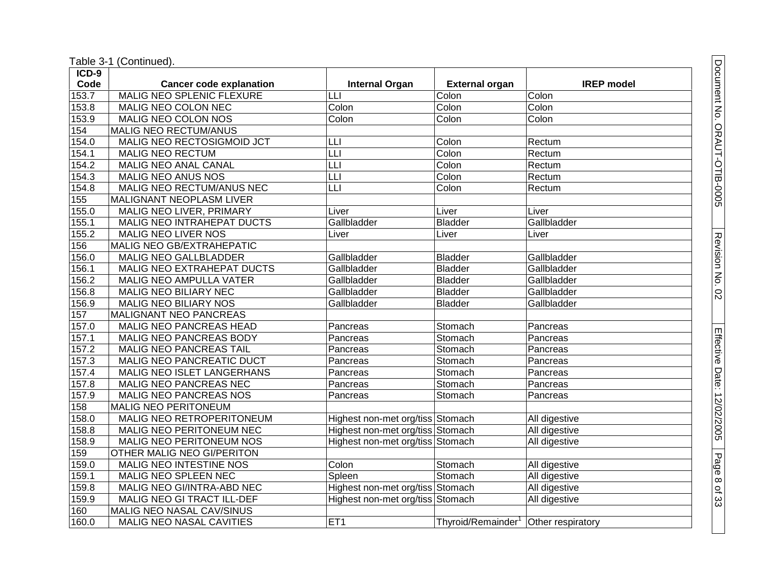| $ICD-9$ |                                   |                                              |                       |                   |
|---------|-----------------------------------|----------------------------------------------|-----------------------|-------------------|
| Code    | <b>Cancer code explanation</b>    | <b>Internal Organ</b>                        | <b>External organ</b> | <b>IREP</b> model |
| 153.7   | <b>MALIG NEO SPLENIC FLEXURE</b>  | Ш                                            | Colon                 | Colon             |
| 153.8   | MALIG NEO COLON NEC               | Colon                                        | Colon                 | Colon             |
| 153.9   | <b>MALIG NEO COLON NOS</b>        | Colon                                        | Colon                 | Colon             |
| 154     | <b>MALIG NEO RECTUM/ANUS</b>      |                                              |                       |                   |
| 154.0   | MALIG NEO RECTOSIGMOID JCT        | LЦ                                           | Colon                 | Rectum            |
| 154.1   | <b>MALIG NEO RECTUM</b>           | $\overline{\overline{\mathsf{L}}\mathsf{L}}$ | Colon                 | Rectum            |
| 154.2   | MALIG NEO ANAL CANAL              | LLI                                          | Colon                 | Rectum            |
| 154.3   | MALIG NEO ANUS NOS                | LLI                                          | Colon                 | Rectum            |
| 154.8   | MALIG NEO RECTUM/ANUS NEC         | L                                            | Colon                 | Rectum            |
| 155     | <b>MALIGNANT NEOPLASM LIVER</b>   |                                              |                       |                   |
| 155.0   | MALIG NEO LIVER, PRIMARY          | Liver                                        | Liver                 | Liver             |
| 155.1   | MALIG NEO INTRAHEPAT DUCTS        | Gallbladder                                  | <b>Bladder</b>        | Gallbladder       |
| 155.2   | MALIG NEO LIVER NOS               | Liver                                        | Liver                 | Liver             |
| 156     | MALIG NEO GB/EXTRAHEPATIC         |                                              |                       |                   |
| 156.0   | MALIG NEO GALLBLADDER             | Gallbladder                                  | <b>Bladder</b>        | Gallbladder       |
| 156.1   | <b>MALIG NEO EXTRAHEPAT DUCTS</b> | Gallbladder                                  | <b>Bladder</b>        | Gallbladder       |
| 156.2   | MALIG NEO AMPULLA VATER           | Gallbladder                                  | <b>Bladder</b>        | Gallbladder       |
| 156.8   | MALIG NEO BILIARY NEC             | Gallbladder                                  | <b>Bladder</b>        | Gallbladder       |
| 156.9   | MALIG NEO BILIARY NOS             | Gallbladder                                  | <b>Bladder</b>        | Gallbladder       |
| 157     | <b>MALIGNANT NEO PANCREAS</b>     |                                              |                       |                   |
| 157.0   | MALIG NEO PANCREAS HEAD           | Pancreas                                     | Stomach               | Pancreas          |
| 157.1   | MALIG NEO PANCREAS BODY           | Pancreas                                     | Stomach               | Pancreas          |
| 157.2   | <b>MALIG NEO PANCREAS TAIL</b>    | Pancreas                                     | Stomach               | Pancreas          |
| 157.3   | MALIG NEO PANCREATIC DUCT         | Pancreas                                     | Stomach               | Pancreas          |
| 157.4   | <b>MALIG NEO ISLET LANGERHANS</b> | Pancreas                                     | Stomach               | Pancreas          |
| 157.8   | MALIG NEO PANCREAS NEC            | Pancreas                                     | Stomach               | Pancreas          |
| 157.9   | MALIG NEO PANCREAS NOS            | Pancreas                                     | Stomach               | Pancreas          |
| 158     | MALIG NEO PERITONEUM              |                                              |                       |                   |
| 158.0   | MALIG NEO RETROPERITONEUM         | Highest non-met org/tiss Stomach             |                       | All digestive     |
| 158.8   | MALIG NEO PERITONEUM NEC          | Highest non-met org/tiss Stomach             |                       | All digestive     |
| 158.9   | MALIG NEO PERITONEUM NOS          | Highest non-met org/tiss Stomach             |                       | All digestive     |
| 159     | OTHER MALIG NEO GI/PERITON        |                                              |                       |                   |
| 159.0   | MALIG NEO INTESTINE NOS           | Colon                                        | Stomach               | All digestive     |
| 159.1   | MALIG NEO SPLEEN NEC              | Spleen                                       | Stomach               | All digestive     |
| 159.8   | MALIG NEO GI/INTRA-ABD NEC        | Highest non-met org/tiss Stomach             |                       | All digestive     |
| 159.9   | MALIG NEO GI TRACT ILL-DEF        | Highest non-met org/tiss Stomach             |                       | All digestive     |
| 160     | MALIG NEO NASAL CAV/SINUS         |                                              |                       |                   |
| 160.0   | MALIG NEO NASAL CAVITIES          | ET1                                          | Thyroid/Remainder     | Other respiratory |

of<br>የ33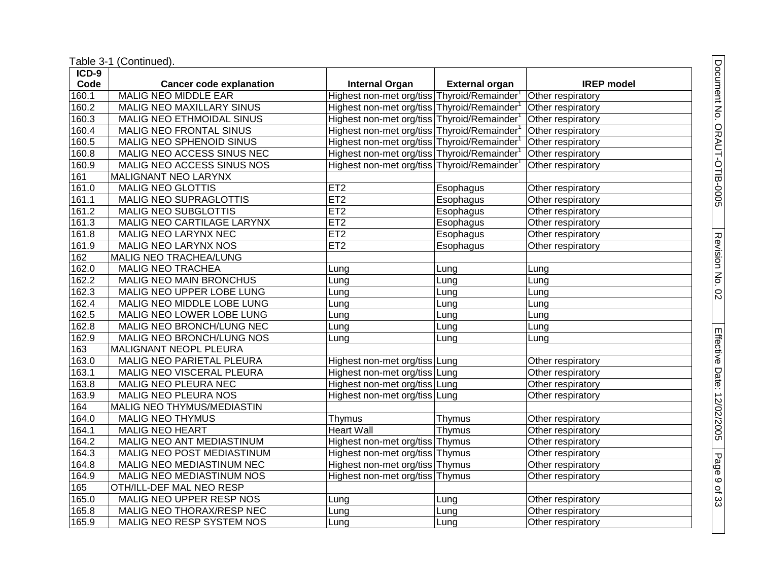Table 3 -1 (Continued).

| $ICD-9$ |                                   |                                            |                       |                   |
|---------|-----------------------------------|--------------------------------------------|-----------------------|-------------------|
| Code    | <b>Cancer code explanation</b>    | <b>Internal Organ</b>                      | <b>External organ</b> | <b>IREP</b> model |
| 160.1   | <b>MALIG NEO MIDDLE EAR</b>       | Highest non-met org/tiss Thyroid/Remainder |                       | Other respiratory |
| 160.2   | MALIG NEO MAXILLARY SINUS         | Highest non-met org/tiss Thyroid/Remainder |                       | Other respiratory |
| 160.3   | MALIG NEO ETHMOIDAL SINUS         | Highest non-met org/tiss Thyroid/Remainder |                       | Other respiratory |
| 160.4   | MALIG NEO FRONTAL SINUS           | Highest non-met org/tiss Thyroid/Remainder |                       | Other respiratory |
| 160.5   | MALIG NEO SPHENOID SINUS          | Highest non-met org/tiss Thyroid/Remainder |                       | Other respiratory |
| 160.8   | MALIG NEO ACCESS SINUS NEC        | Highest non-met org/tiss Thyroid/Remainder |                       | Other respiratory |
| 160.9   | MALIG NEO ACCESS SINUS NOS        | Highest non-met org/tiss Thyroid/Remainder |                       | Other respiratory |
| 161     | MALIGNANT NEO LARYNX              |                                            |                       |                   |
| 161.0   | <b>MALIG NEO GLOTTIS</b>          | ET <sub>2</sub>                            | Esophagus             | Other respiratory |
| 161.1   | <b>MALIG NEO SUPRAGLOTTIS</b>     | ET2                                        | Esophagus             | Other respiratory |
| 161.2   | <b>MALIG NEO SUBGLOTTIS</b>       | ET <sub>2</sub>                            | Esophagus             | Other respiratory |
| 161.3   | MALIG NEO CARTILAGE LARYNX        | ET2                                        | Esophagus             | Other respiratory |
| 161.8   | MALIG NEO LARYNX NEC              | ET2                                        | Esophagus             | Other respiratory |
| 161.9   | MALIG NEO LARYNX NOS              | ET2                                        | Esophagus             | Other respiratory |
| 162     | MALIG NEO TRACHEA/LUNG            |                                            |                       |                   |
| 162.0   | <b>MALIG NEO TRACHEA</b>          | Lung                                       | Lung                  | Lung              |
| 162.2   | <b>MALIG NEO MAIN BRONCHUS</b>    | Lung                                       | Lung                  | Lung              |
| 162.3   | MALIG NEO UPPER LOBE LUNG         | Lung                                       | Lung                  | Lung              |
| 162.4   | <b>MALIG NEO MIDDLE LOBE LUNG</b> | Lung                                       | Lung                  | Lung              |
| 162.5   | MALIG NEO LOWER LOBE LUNG         | Lung                                       | Lung                  | Lung              |
| 162.8   | MALIG NEO BRONCH/LUNG NEC         | Lung                                       | Lung                  | Lung              |
| 162.9   | MALIG NEO BRONCH/LUNG NOS         | Lung                                       | Lung                  | Lung              |
| 163     | MALIGNANT NEOPL PLEURA            |                                            |                       |                   |
| 163.0   | MALIG NEO PARIETAL PLEURA         | Highest non-met org/tiss Lung              |                       | Other respiratory |
| 163.1   | MALIG NEO VISCERAL PLEURA         | Highest non-met org/tiss   Lung            |                       | Other respiratory |
| 163.8   | MALIG NEO PLEURA NEC              | Highest non-met org/tiss Lung              |                       | Other respiratory |
| 163.9   | <b>MALIG NEO PLEURA NOS</b>       | Highest non-met org/tiss Lung              |                       | Other respiratory |
| 164     | MALIG NEO THYMUS/MEDIASTIN        |                                            |                       |                   |
| 164.0   | <b>MALIG NEO THYMUS</b>           | Thymus                                     | Thymus                | Other respiratory |
| 164.1   | <b>MALIG NEO HEART</b>            | <b>Heart Wall</b>                          | Thymus                | Other respiratory |
| 164.2   | MALIG NEO ANT MEDIASTINUM         | Highest non-met org/tiss Thymus            |                       | Other respiratory |
| 164.3   | MALIG NEO POST MEDIASTINUM        | Highest non-met org/tiss Thymus            |                       | Other respiratory |
| 164.8   | MALIG NEO MEDIASTINUM NEC         | Highest non-met org/tiss Thymus            |                       | Other respiratory |
| 164.9   | MALIG NEO MEDIASTINUM NOS         | Highest non-met org/tiss Thymus            |                       | Other respiratory |
| 165     | OTH/ILL-DEF MAL NEO RESP          |                                            |                       |                   |
| 165.0   | MALIG NEO UPPER RESP NOS          | Lung                                       | Lung                  | Other respiratory |
| 165.8   | MALIG NEO THORAX/RESP NEC         | Lung                                       | Lung                  | Other respiratory |
| 165.9   | MALIG NEO RESP SYSTEM NOS         | Lung                                       | Lung                  | Other respiratory |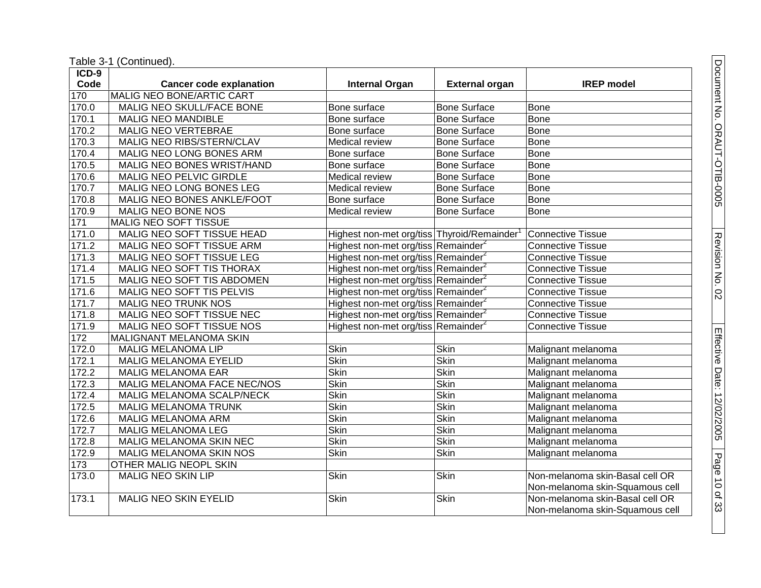| ICD-9            |                                |                                                 |                       |                                 |
|------------------|--------------------------------|-------------------------------------------------|-----------------------|---------------------------------|
| Code             | <b>Cancer code explanation</b> | <b>Internal Organ</b>                           | <b>External organ</b> | <b>IREP</b> model               |
| 170              | MALIG NEO BONE/ARTIC CART      |                                                 |                       |                                 |
| 170.0            | MALIG NEO SKULL/FACE BONE      | Bone surface                                    | <b>Bone Surface</b>   | <b>Bone</b>                     |
| 170.1            | <b>MALIG NEO MANDIBLE</b>      | Bone surface                                    | <b>Bone Surface</b>   | <b>Bone</b>                     |
| 170.2            | <b>MALIG NEO VERTEBRAE</b>     | Bone surface                                    | Bone Surface          | <b>Bone</b>                     |
| 170.3            | MALIG NEO RIBS/STERN/CLAV      | Medical review                                  | <b>Bone Surface</b>   | <b>Bone</b>                     |
| 170.4            | MALIG NEO LONG BONES ARM       | Bone surface                                    | <b>Bone Surface</b>   | <b>Bone</b>                     |
| 170.5            | MALIG NEO BONES WRIST/HAND     | Bone surface                                    | <b>Bone Surface</b>   | Bone                            |
| 170.6            | MALIG NEO PELVIC GIRDLE        | Medical review                                  | <b>Bone Surface</b>   | <b>Bone</b>                     |
| 170.7            | MALIG NEO LONG BONES LEG       | Medical review                                  | <b>Bone Surface</b>   | <b>Bone</b>                     |
| 170.8            | MALIG NEO BONES ANKLE/FOOT     | Bone surface                                    | <b>Bone Surface</b>   | <b>Bone</b>                     |
| 170.9            | MALIG NEO BONE NOS             | Medical review                                  | <b>Bone Surface</b>   | Bone                            |
| $\overline{171}$ | MALIG NEO SOFT TISSUE          |                                                 |                       |                                 |
| 171.0            | MALIG NEO SOFT TISSUE HEAD     | Highest non-met org/tiss Thyroid/Remainder      |                       | <b>Connective Tissue</b>        |
| 171.2            | MALIG NEO SOFT TISSUE ARM      | Highest non-met org/tiss Remainder <sup>2</sup> |                       | <b>Connective Tissue</b>        |
| 171.3            | MALIG NEO SOFT TISSUE LEG      | Highest non-met org/tiss Remainder <sup>2</sup> |                       | <b>Connective Tissue</b>        |
| 171.4            | MALIG NEO SOFT TIS THORAX      | Highest non-met org/tiss Remainder <sup>2</sup> |                       | <b>Connective Tissue</b>        |
| 171.5            | MALIG NEO SOFT TIS ABDOMEN     | Highest non-met org/tiss Remainder <sup>2</sup> |                       | <b>Connective Tissue</b>        |
| 171.6            | MALIG NEO SOFT TIS PELVIS      | Highest non-met org/tiss Remainder <sup>2</sup> |                       | <b>Connective Tissue</b>        |
| 171.7            | <b>MALIG NEO TRUNK NOS</b>     | Highest non-met org/tiss Remainder <sup>2</sup> |                       | <b>Connective Tissue</b>        |
| 171.8            | MALIG NEO SOFT TISSUE NEC      | Highest non-met org/tiss Remainder <sup>2</sup> |                       | <b>Connective Tissue</b>        |
| 171.9            | MALIG NEO SOFT TISSUE NOS      | Highest non-met org/tiss Remainder <sup>2</sup> |                       | <b>Connective Tissue</b>        |
| 172              | MALIGNANT MELANOMA SKIN        |                                                 |                       |                                 |
| 172.0            | MALIG MELANOMA LIP             | Skin                                            | <b>Skin</b>           | Malignant melanoma              |
| 172.1            | <b>MALIG MELANOMA EYELID</b>   | <b>Skin</b>                                     | <b>Skin</b>           | Malignant melanoma              |
| 172.2            | <b>MALIG MELANOMA EAR</b>      | <b>Skin</b>                                     | <b>Skin</b>           | Malignant melanoma              |
| 172.3            | MALIG MELANOMA FACE NEC/NOS    | <b>Skin</b>                                     | <b>Skin</b>           | Malignant melanoma              |
| 172.4            | MALIG MELANOMA SCALP/NECK      | <b>Skin</b>                                     | <b>Skin</b>           | Malignant melanoma              |
| 172.5            | <b>MALIG MELANOMA TRUNK</b>    | <b>Skin</b>                                     | <b>Skin</b>           | Malignant melanoma              |
| 172.6            | MALIG MELANOMA ARM             | <b>Skin</b>                                     | <b>Skin</b>           | Malignant melanoma              |
| 172.7            | MALIG MELANOMA LEG             | <b>Skin</b>                                     | <b>Skin</b>           | Malignant melanoma              |
| 172.8            | MALIG MELANOMA SKIN NEC        | <b>Skin</b>                                     | Skin                  | Malignant melanoma              |
| 172.9            | MALIG MELANOMA SKIN NOS        | <b>Skin</b>                                     | <b>Skin</b>           | Malignant melanoma              |
| 173              | <b>OTHER MALIG NEOPL SKIN</b>  |                                                 |                       |                                 |
| 173.0            | <b>MALIG NEO SKIN LIP</b>      | <b>Skin</b>                                     | <b>Skin</b>           | Non-melanoma skin-Basal cell OR |
|                  |                                |                                                 |                       | Non-melanoma skin-Squamous cell |
| 173.1            | MALIG NEO SKIN EYELID          | Skin                                            | Skin                  | Non-melanoma skin-Basal cell OR |
|                  |                                |                                                 |                       | Non-melanoma skin-Squamous cell |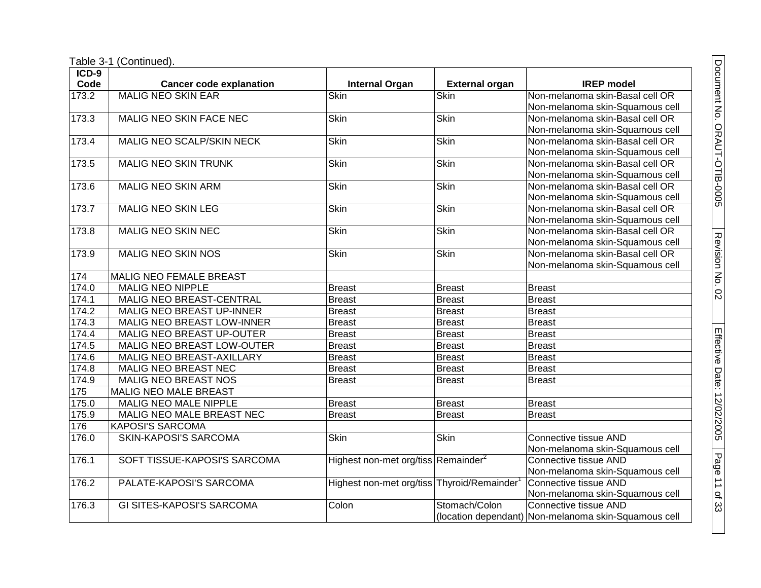Table 3-1 (Continued).

| $ICD-9$ |                                  |                                                         |                       |                                                      |
|---------|----------------------------------|---------------------------------------------------------|-----------------------|------------------------------------------------------|
| Code    | <b>Cancer code explanation</b>   | <b>Internal Organ</b>                                   | <b>External organ</b> | <b>IREP</b> model                                    |
| 173.2   | <b>MALIG NEO SKIN EAR</b>        | <b>Skin</b>                                             | <b>Skin</b>           | Non-melanoma skin-Basal cell OR                      |
|         |                                  |                                                         |                       | Non-melanoma skin-Squamous cell                      |
| 173.3   | MALIG NEO SKIN FACE NEC          | <b>Skin</b>                                             | Skin                  | Non-melanoma skin-Basal cell OR                      |
|         |                                  |                                                         |                       | Non-melanoma skin-Squamous cell                      |
| 173.4   | MALIG NEO SCALP/SKIN NECK        | <b>Skin</b>                                             | <b>Skin</b>           | Non-melanoma skin-Basal cell OR                      |
|         |                                  |                                                         |                       | Non-melanoma skin-Squamous cell                      |
| 173.5   | <b>MALIG NEO SKIN TRUNK</b>      | <b>Skin</b>                                             | <b>Skin</b>           | Non-melanoma skin-Basal cell OR                      |
|         |                                  |                                                         |                       | Non-melanoma skin-Squamous cell                      |
| 173.6   | <b>MALIG NEO SKIN ARM</b>        | <b>Skin</b>                                             | <b>Skin</b>           | Non-melanoma skin-Basal cell OR                      |
|         |                                  |                                                         |                       | Non-melanoma skin-Squamous cell                      |
| 173.7   | <b>MALIG NEO SKIN LEG</b>        | <b>Skin</b>                                             | <b>Skin</b>           | Non-melanoma skin-Basal cell OR                      |
|         |                                  |                                                         |                       | Non-melanoma skin-Squamous cell                      |
| 173.8   | <b>MALIG NEO SKIN NEC</b>        | <b>Skin</b>                                             | <b>Skin</b>           | Non-melanoma skin-Basal cell OR                      |
|         |                                  |                                                         |                       | Non-melanoma skin-Squamous cell                      |
| 173.9   | MALIG NEO SKIN NOS               | Skin                                                    | <b>Skin</b>           | Non-melanoma skin-Basal cell OR                      |
|         |                                  |                                                         |                       | Non-melanoma skin-Squamous cell                      |
| 174     | <b>MALIG NEO FEMALE BREAST</b>   |                                                         |                       |                                                      |
| 174.0   | <b>MALIG NEO NIPPLE</b>          | <b>Breast</b>                                           | <b>Breast</b>         | <b>Breast</b>                                        |
| 174.1   | MALIG NEO BREAST-CENTRAL         | <b>Breast</b>                                           | <b>Breast</b>         | <b>Breast</b>                                        |
| 174.2   | MALIG NEO BREAST UP-INNER        | <b>Breast</b>                                           | <b>Breast</b>         | <b>Breast</b>                                        |
| 174.3   | MALIG NEO BREAST LOW-INNER       | <b>Breast</b>                                           | <b>Breast</b>         | <b>Breast</b>                                        |
| 174.4   | MALIG NEO BREAST UP-OUTER        | <b>Breast</b>                                           | <b>Breast</b>         | <b>Breast</b>                                        |
| 174.5   | MALIG NEO BREAST LOW-OUTER       | <b>Breast</b>                                           | <b>Breast</b>         | <b>Breast</b>                                        |
| 174.6   | MALIG NEO BREAST-AXILLARY        | <b>Breast</b>                                           | <b>Breast</b>         | <b>Breast</b>                                        |
| 174.8   | MALIG NEO BREAST NEC             | <b>Breast</b>                                           | <b>Breast</b>         | <b>Breast</b>                                        |
| 174.9   | MALIG NEO BREAST NOS             | <b>Breast</b>                                           | <b>Breast</b>         | <b>Breast</b>                                        |
| 175     | MALIG NEO MALE BREAST            |                                                         |                       |                                                      |
| 175.0   | MALIG NEO MALE NIPPLE            | <b>Breast</b>                                           | <b>Breast</b>         | <b>Breast</b>                                        |
| 175.9   | MALIG NEO MALE BREAST NEC        | <b>Breast</b>                                           | <b>Breast</b>         | <b>Breast</b>                                        |
| 176     | <b>KAPOSI'S SARCOMA</b>          |                                                         |                       |                                                      |
| 176.0   | <b>SKIN-KAPOSI'S SARCOMA</b>     | <b>Skin</b>                                             | <b>Skin</b>           | Connective tissue AND                                |
|         |                                  |                                                         |                       | Non-melanoma skin-Squamous cell                      |
| 176.1   | SOFT TISSUE-KAPOSI'S SARCOMA     | Highest non-met org/tiss Remainder <sup>2</sup>         |                       | Connective tissue AND                                |
|         |                                  |                                                         |                       | Non-melanoma skin-Squamous cell                      |
| 176.2   | PALATE-KAPOSI'S SARCOMA          | Highest non-met org/tiss Thyroid/Remainder <sup>1</sup> |                       | Connective tissue AND                                |
|         |                                  |                                                         |                       | Non-melanoma skin-Squamous cell                      |
| 176.3   | <b>GI SITES-KAPOSI'S SARCOMA</b> | Colon                                                   | Stomach/Colon         | Connective tissue AND                                |
|         |                                  |                                                         |                       | (location dependant) Non-melanoma skin-Squamous cell |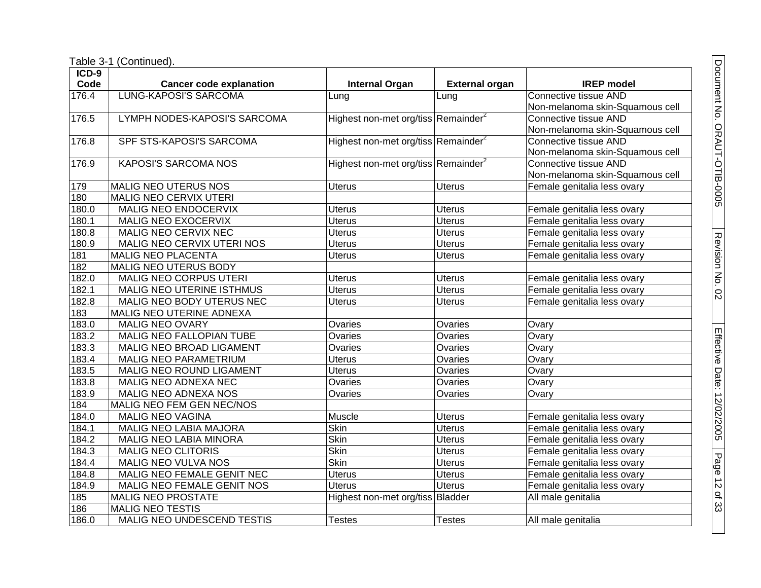| ICD-9 |                                |                                                 |                       |                                 |
|-------|--------------------------------|-------------------------------------------------|-----------------------|---------------------------------|
| Code  | <b>Cancer code explanation</b> | <b>Internal Organ</b>                           | <b>External organ</b> | <b>IREP</b> model               |
| 176.4 | <b>LUNG-KAPOSI'S SARCOMA</b>   | Lung                                            | Lung                  | Connective tissue AND           |
|       |                                |                                                 |                       | Non-melanoma skin-Squamous cell |
| 176.5 | LYMPH NODES-KAPOSI'S SARCOMA   | Highest non-met org/tiss Remainder <sup>2</sup> |                       | Connective tissue AND           |
|       |                                |                                                 |                       | Non-melanoma skin-Squamous cell |
| 176.8 | SPF STS-KAPOSI'S SARCOMA       | Highest non-met org/tiss Remainder <sup>2</sup> |                       | Connective tissue AND           |
|       |                                |                                                 |                       | Non-melanoma skin-Squamous cell |
| 176.9 | <b>KAPOSI'S SARCOMA NOS</b>    | Highest non-met org/tiss Remainder <sup>2</sup> |                       | Connective tissue AND           |
|       |                                |                                                 |                       | Non-melanoma skin-Squamous cell |
| 179   | <b>MALIG NEO UTERUS NOS</b>    | <b>Uterus</b>                                   | <b>Uterus</b>         | Female genitalia less ovary     |
| 180   | MALIG NEO CERVIX UTERI         |                                                 |                       |                                 |
| 180.0 | MALIG NEO ENDOCERVIX           | Uterus                                          | <b>Uterus</b>         | Female genitalia less ovary     |
| 180.1 | MALIG NEO EXOCERVIX            | <b>Uterus</b>                                   | <b>Uterus</b>         | Female genitalia less ovary     |
| 180.8 | MALIG NEO CERVIX NEC           | <b>Uterus</b>                                   | <b>Uterus</b>         | Female genitalia less ovary     |
| 180.9 | MALIG NEO CERVIX UTERI NOS     | <b>Uterus</b>                                   | <b>Uterus</b>         | Female genitalia less ovary     |
| 181   | MALIG NEO PLACENTA             | <b>Uterus</b>                                   | <b>Uterus</b>         | Female genitalia less ovary     |
| 182   | MALIG NEO UTERUS BODY          |                                                 |                       |                                 |
| 182.0 | MALIG NEO CORPUS UTERI         | <b>Uterus</b>                                   | <b>Uterus</b>         | Female genitalia less ovary     |
| 182.1 | MALIG NEO UTERINE ISTHMUS      | <b>Uterus</b>                                   | <b>Uterus</b>         | Female genitalia less ovary     |
| 182.8 | MALIG NEO BODY UTERUS NEC      | <b>Uterus</b>                                   | <b>Uterus</b>         | Female genitalia less ovary     |
| 183   | MALIG NEO UTERINE ADNEXA       |                                                 |                       |                                 |
| 183.0 | MALIG NEO OVARY                | Ovaries                                         | Ovaries               | Ovary                           |
| 183.2 | MALIG NEO FALLOPIAN TUBE       | Ovaries                                         | Ovaries               | Ovary                           |
| 183.3 | MALIG NEO BROAD LIGAMENT       | Ovaries                                         | Ovaries               | Ovary                           |
| 183.4 | <b>MALIG NEO PARAMETRIUM</b>   | <b>Uterus</b>                                   | Ovaries               | Ovary                           |
| 183.5 | MALIG NEO ROUND LIGAMENT       | Uterus                                          | Ovaries               | Ovary                           |
| 183.8 | MALIG NEO ADNEXA NEC           | Ovaries                                         | Ovaries               | Ovary                           |
| 183.9 | MALIG NEO ADNEXA NOS           | Ovaries                                         | Ovaries               | Ovary                           |
| 184   | MALIG NEO FEM GEN NEC/NOS      |                                                 |                       |                                 |
| 184.0 | <b>MALIG NEO VAGINA</b>        | Muscle                                          | <b>Uterus</b>         | Female genitalia less ovary     |
| 184.1 | <b>MALIG NEO LABIA MAJORA</b>  | <b>Skin</b>                                     | <b>Uterus</b>         | Female genitalia less ovary     |
| 184.2 | MALIG NEO LABIA MINORA         | <b>Skin</b>                                     | <b>Uterus</b>         | Female genitalia less ovary     |
| 184.3 | <b>MALIG NEO CLITORIS</b>      | <b>Skin</b>                                     | <b>Uterus</b>         | Female genitalia less ovary     |
| 184.4 | MALIG NEO VULVA NOS            | <b>Skin</b>                                     | <b>Uterus</b>         | Female genitalia less ovary     |
| 184.8 | MALIG NEO FEMALE GENIT NEC     | <b>Uterus</b>                                   | <b>Uterus</b>         | Female genitalia less ovary     |
| 184.9 | MALIG NEO FEMALE GENIT NOS     | <b>Uterus</b>                                   | <b>Uterus</b>         | Female genitalia less ovary     |
| 185   | <b>MALIG NEO PROSTATE</b>      | Highest non-met org/tiss Bladder                |                       | All male genitalia              |
| 186   | <b>MALIG NEO TESTIS</b>        |                                                 |                       |                                 |
| 186.0 | MALIG NEO UNDESCEND TESTIS     | <b>Testes</b>                                   | <b>Testes</b>         | All male genitalia              |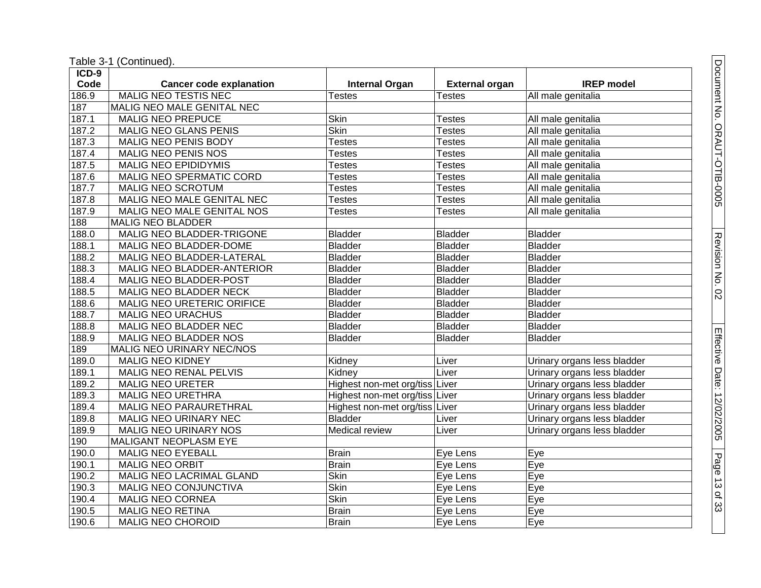| $ICD-9$ |                                |                                |                       |                             |
|---------|--------------------------------|--------------------------------|-----------------------|-----------------------------|
| Code    | <b>Cancer code explanation</b> | <b>Internal Organ</b>          | <b>External organ</b> | <b>IREP</b> model           |
| 186.9   | <b>MALIG NEO TESTIS NEC</b>    | <b>Testes</b>                  | <b>Testes</b>         | All male genitalia          |
| 187     | MALIG NEO MALE GENITAL NEC     |                                |                       |                             |
| 187.1   | <b>MALIG NEO PREPUCE</b>       | Skin                           | <b>Testes</b>         | All male genitalia          |
| 187.2   | MALIG NEO GLANS PENIS          | <b>Skin</b>                    | <b>Testes</b>         | All male genitalia          |
| 187.3   | <b>MALIG NEO PENIS BODY</b>    | <b>Testes</b>                  | <b>Testes</b>         | All male genitalia          |
| 187.4   | <b>MALIG NEO PENIS NOS</b>     | <b>Testes</b>                  | <b>Testes</b>         | All male genitalia          |
| 187.5   | <b>MALIG NEO EPIDIDYMIS</b>    | <b>Testes</b>                  | <b>Testes</b>         | All male genitalia          |
| 187.6   | MALIG NEO SPERMATIC CORD       | <b>Testes</b>                  | <b>Testes</b>         | All male genitalia          |
| 187.7   | <b>MALIG NEO SCROTUM</b>       | <b>Testes</b>                  | <b>Testes</b>         | All male genitalia          |
| 187.8   | MALIG NEO MALE GENITAL NEC     | <b>Testes</b>                  | <b>Testes</b>         | All male genitalia          |
| 187.9   | MALIG NEO MALE GENITAL NOS     | <b>Testes</b>                  | <b>Testes</b>         | All male genitalia          |
| 188     | <b>MALIG NEO BLADDER</b>       |                                |                       |                             |
| 188.0   | MALIG NEO BLADDER-TRIGONE      | <b>Bladder</b>                 | <b>Bladder</b>        | <b>Bladder</b>              |
| 188.1   | MALIG NEO BLADDER-DOME         | <b>Bladder</b>                 | <b>Bladder</b>        | <b>Bladder</b>              |
| 188.2   | MALIG NEO BLADDER-LATERAL      | <b>Bladder</b>                 | <b>Bladder</b>        | <b>Bladder</b>              |
| 188.3   | MALIG NEO BLADDER-ANTERIOR     | <b>Bladder</b>                 | <b>Bladder</b>        | <b>Bladder</b>              |
| 188.4   | <b>MALIG NEO BLADDER-POST</b>  | <b>Bladder</b>                 | <b>Bladder</b>        | <b>Bladder</b>              |
| 188.5   | <b>MALIG NEO BLADDER NECK</b>  | <b>Bladder</b>                 | <b>Bladder</b>        | <b>Bladder</b>              |
| 188.6   | MALIG NEO URETERIC ORIFICE     | <b>Bladder</b>                 | <b>Bladder</b>        | <b>Bladder</b>              |
| 188.7   | MALIG NEO URACHUS              | <b>Bladder</b>                 | <b>Bladder</b>        | <b>Bladder</b>              |
| 188.8   | MALIG NEO BLADDER NEC          | <b>Bladder</b>                 | <b>Bladder</b>        | <b>Bladder</b>              |
| 188.9   | MALIG NEO BLADDER NOS          | <b>Bladder</b>                 | <b>Bladder</b>        | <b>Bladder</b>              |
| 189     | MALIG NEO URINARY NEC/NOS      |                                |                       |                             |
| 189.0   | <b>MALIG NEO KIDNEY</b>        | Kidney                         | Liver                 | Urinary organs less bladder |
| 189.1   | MALIG NEO RENAL PELVIS         | Kidney                         | Liver                 | Urinary organs less bladder |
| 189.2   | <b>MALIG NEO URETER</b>        | Highest non-met org/tiss Liver |                       | Urinary organs less bladder |
| 189.3   | <b>MALIG NEO URETHRA</b>       | Highest non-met org/tiss Liver |                       | Urinary organs less bladder |
| 189.4   | MALIG NEO PARAURETHRAL         | Highest non-met org/tiss Liver |                       | Urinary organs less bladder |
| 189.8   | MALIG NEO URINARY NEC          | <b>Bladder</b>                 | Liver                 | Urinary organs less bladder |
| 189.9   | <b>MALIG NEO URINARY NOS</b>   | Medical review                 | Liver                 | Urinary organs less bladder |
| 190     | <b>MALIGANT NEOPLASM EYE</b>   |                                |                       |                             |
| 190.0   | <b>MALIG NEO EYEBALL</b>       | <b>Brain</b>                   | Eye Lens              | Eye                         |
| 190.1   | <b>MALIG NEO ORBIT</b>         | <b>Brain</b>                   | Eye Lens              | Eye                         |
| 190.2   | MALIG NEO LACRIMAL GLAND       | <b>Skin</b>                    | Eye Lens              | Eye                         |
| 190.3   | <b>MALIG NEO CONJUNCTIVA</b>   | <b>Skin</b>                    | Eye Lens              | Eye                         |
| 190.4   | <b>MALIG NEO CORNEA</b>        | Skin                           | Eye Lens              | Eye                         |
| 190.5   | <b>MALIG NEO RETINA</b>        | <b>Brain</b>                   | Eye Lens              | Eye                         |
| 190.6   | MALIG NEO CHOROID              | <b>Brain</b>                   | Eye Lens              | Eye                         |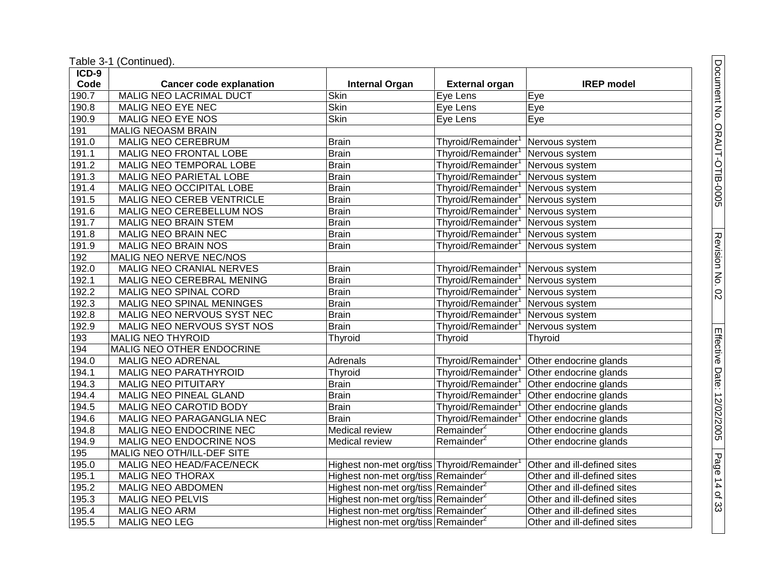Table 3 -1 (Continued).

| ICD-9 |                                  |                                                 |                        |                             |
|-------|----------------------------------|-------------------------------------------------|------------------------|-----------------------------|
| Code  | <b>Cancer code explanation</b>   | <b>Internal Organ</b>                           | <b>External organ</b>  | <b>IREP</b> model           |
| 190.7 | <b>MALIG NEO LACRIMAL DUCT</b>   | <b>Skin</b>                                     | Eye Lens               | Eye                         |
| 190.8 | MALIG NEO EYE NEC                | <b>Skin</b>                                     | Eye Lens               | Eye                         |
| 190.9 | MALIG NEO EYE NOS                | <b>Skin</b>                                     | Eye Lens               | Eye                         |
| 191   | <b>MALIG NEOASM BRAIN</b>        |                                                 |                        |                             |
| 191.0 | MALIG NEO CEREBRUM               | <b>Brain</b>                                    | Thyroid/Remainder      | Nervous system              |
| 191.1 | MALIG NEO FRONTAL LOBE           | <b>Brain</b>                                    | Thyroid/Remainder      | Nervous system              |
| 191.2 | MALIG NEO TEMPORAL LOBE          | <b>Brain</b>                                    | Thyroid/Remainder      | Nervous system              |
| 191.3 | MALIG NEO PARIETAL LOBE          | <b>Brain</b>                                    | Thyroid/Remainder      | Nervous system              |
| 191.4 | MALIG NEO OCCIPITAL LOBE         | <b>Brain</b>                                    | Thyroid/Remainder      | Nervous system              |
| 191.5 | MALIG NEO CEREB VENTRICLE        | <b>Brain</b>                                    | Thyroid/Remainder      | Nervous system              |
| 191.6 | MALIG NEO CEREBELLUM NOS         | <b>Brain</b>                                    | Thyroid/Remainder      | Nervous system              |
| 191.7 | MALIG NEO BRAIN STEM             | <b>Brain</b>                                    | Thyroid/Remainder      | Nervous system              |
| 191.8 | <b>MALIG NEO BRAIN NEC</b>       | <b>Brain</b>                                    | Thyroid/Remainder      | Nervous system              |
| 191.9 | MALIG NEO BRAIN NOS              | <b>Brain</b>                                    | Thyroid/Remainder      | Nervous system              |
| 192   | MALIG NEO NERVE NEC/NOS          |                                                 |                        |                             |
| 192.0 | MALIG NEO CRANIAL NERVES         | <b>Brain</b>                                    | Thyroid/Remainder      | Nervous system              |
| 192.1 | MALIG NEO CEREBRAL MENING        | <b>Brain</b>                                    | Thyroid/Remainder      | Nervous system              |
| 192.2 | <b>MALIG NEO SPINAL CORD</b>     | <b>Brain</b>                                    | Thyroid/Remainder      | Nervous system              |
| 192.3 | <b>MALIG NEO SPINAL MENINGES</b> | <b>Brain</b>                                    | Thyroid/Remainder      | Nervous system              |
| 192.8 | MALIG NEO NERVOUS SYST NEC       | <b>Brain</b>                                    | Thyroid/Remainder      | Nervous system              |
| 192.9 | MALIG NEO NERVOUS SYST NOS       | <b>Brain</b>                                    | Thyroid/Remainder      | Nervous system              |
| 193   | <b>MALIG NEO THYROID</b>         | Thyroid                                         | Thyroid                | Thyroid                     |
| 194   | MALIG NEO OTHER ENDOCRINE        |                                                 |                        |                             |
| 194.0 | <b>MALIG NEO ADRENAL</b>         | Adrenals                                        | Thyroid/Remainder      | Other endocrine glands      |
| 194.1 | MALIG NEO PARATHYROID            | Thyroid                                         | Thyroid/Remainder      | Other endocrine glands      |
| 194.3 | <b>MALIG NEO PITUITARY</b>       | <b>Brain</b>                                    | Thyroid/Remainder      | Other endocrine glands      |
| 194.4 | MALIG NEO PINEAL GLAND           | <b>Brain</b>                                    | Thyroid/Remainder      | Other endocrine glands      |
| 194.5 | MALIG NEO CAROTID BODY           | <b>Brain</b>                                    | Thyroid/Remainder      | Other endocrine glands      |
| 194.6 | MALIG NEO PARAGANGLIA NEC        | <b>Brain</b>                                    | Thyroid/Remainder      | Other endocrine glands      |
| 194.8 | MALIG NEO ENDOCRINE NEC          | Medical review                                  | Remainder <sup>2</sup> | Other endocrine glands      |
| 194.9 | MALIG NEO ENDOCRINE NOS          | Medical review                                  | Remainder <sup>2</sup> | Other endocrine glands      |
| 195   | MALIG NEO OTH/ILL-DEF SITE       |                                                 |                        |                             |
| 195.0 | MALIG NEO HEAD/FACE/NECK         | Highest non-met org/tiss Thyroid/Remainder      |                        | Other and ill-defined sites |
| 195.1 | <b>MALIG NEO THORAX</b>          | Highest non-met org/tiss Remainder <sup>2</sup> |                        | Other and ill-defined sites |
| 195.2 | MALIG NEO ABDOMEN                | Highest non-met org/tiss Remainder <sup>2</sup> |                        | Other and ill-defined sites |
| 195.3 | <b>MALIG NEO PELVIS</b>          | Highest non-met org/tiss Remainder <sup>2</sup> |                        | Other and ill-defined sites |
| 195.4 | <b>MALIG NEO ARM</b>             | Highest non-met org/tiss Remainder <sup>2</sup> |                        | Other and ill-defined sites |
| 195.5 | <b>MALIG NEO LEG</b>             | Highest non-met org/tiss Remainder <sup>2</sup> |                        | Other and ill-defined sites |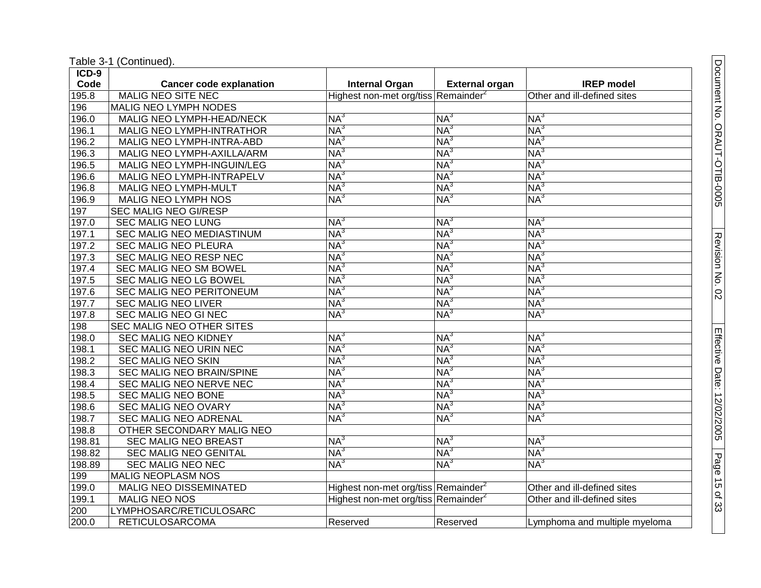|  | Table 3-1 (Continued). |
|--|------------------------|
|--|------------------------|

| $ICD-9$ |                                |                                                 |                       |                               |
|---------|--------------------------------|-------------------------------------------------|-----------------------|-------------------------------|
| Code    | <b>Cancer code explanation</b> | <b>Internal Organ</b>                           | <b>External organ</b> | <b>IREP</b> model             |
| 195.8   | <b>MALIG NEO SITE NEC</b>      | Highest non-met org/tiss Remainder <sup>2</sup> |                       | Other and ill-defined sites   |
| 196     | <b>MALIG NEO LYMPH NODES</b>   |                                                 |                       |                               |
| 196.0   | MALIG NEO LYMPH-HEAD/NECK      | NA <sup>3</sup>                                 | NA <sup>3</sup>       | NA <sup>3</sup>               |
| 196.1   | MALIG NEO LYMPH-INTRATHOR      | $NA^3$                                          | NA <sup>3</sup>       | $NA^3$                        |
| 196.2   | MALIG NEO LYMPH-INTRA-ABD      | NA <sup>3</sup>                                 | $NA^3$                | $NA^3$                        |
| 196.3   | MALIG NEO LYMPH-AXILLA/ARM     | NA <sup>3</sup>                                 | $NA^3$                | $NA^3$                        |
| 196.5   | MALIG NEO LYMPH-INGUIN/LEG     | NA <sup>3</sup>                                 | NA <sup>3</sup>       | $NA^3$                        |
| 196.6   | MALIG NEO LYMPH-INTRAPELV      | NA <sup>3</sup>                                 | NA <sup>3</sup>       | NA <sup>3</sup>               |
| 196.8   | <b>MALIG NEO LYMPH-MULT</b>    | $NA^3$                                          | $NA^3$                | $NA^3$                        |
| 196.9   | <b>MALIG NEO LYMPH NOS</b>     | $NA^3$                                          | $NA^3$                | $NA^3$                        |
| 197     | <b>SEC MALIG NEO GI/RESP</b>   |                                                 |                       |                               |
| 197.0   | <b>SEC MALIG NEO LUNG</b>      | $NA^3$                                          | NA <sup>3</sup>       | NA <sup>3</sup>               |
| 197.1   | SEC MALIG NEO MEDIASTINUM      | NA <sup>3</sup>                                 | $NA^3$                | $NA^3$                        |
| 197.2   | <b>SEC MALIG NEO PLEURA</b>    | NA <sup>3</sup>                                 | NA <sup>3</sup>       | $NA^3$                        |
| 197.3   | <b>SEC MALIG NEO RESP NEC</b>  | NA <sup>3</sup>                                 | NA <sup>3</sup>       | $NA^3$                        |
| 197.4   | <b>SEC MALIG NEO SM BOWEL</b>  | NA <sup>3</sup>                                 | $NA^3$                | $NA^3$                        |
| 197.5   | SEC MALIG NEO LG BOWEL         | NA <sup>3</sup>                                 | $NA^3$                | NA <sup>3</sup>               |
| 197.6   | SEC MALIG NEO PERITONEUM       | $NA^3$                                          | NA <sup>3</sup>       | $NA^3$                        |
| 197.7   | <b>SEC MALIG NEO LIVER</b>     | NA <sup>3</sup>                                 | $NA^3$                | $NA^3$                        |
| 197.8   | <b>SEC MALIG NEO GI NEC</b>    | NA <sup>3</sup>                                 | $NA^3$                | $NA^3$                        |
| 198     | SEC MALIG NEO OTHER SITES      |                                                 |                       |                               |
| 198.0   | <b>SEC MALIG NEO KIDNEY</b>    | $NA^3$                                          | NA <sup>3</sup>       | NA <sup>3</sup>               |
| 198.1   | <b>SEC MALIG NEO URIN NEC</b>  | NA <sup>3</sup>                                 | $NA^3$                | NA <sup>3</sup>               |
| 198.2   | <b>SEC MALIG NEO SKIN</b>      | NA <sup>3</sup>                                 | NA <sup>3</sup>       | NA <sup>3</sup>               |
| 198.3   | SEC MALIG NEO BRAIN/SPINE      | NA <sup>3</sup>                                 | $NA^3$                | $NA^3$                        |
| 198.4   | SEC MALIG NEO NERVE NEC        | NA <sup>3</sup>                                 | $NA^3$                | $NA^3$                        |
| 198.5   | SEC MALIG NEO BONE             | NA <sup>3</sup>                                 | NA <sup>3</sup>       | $NA^3$                        |
| 198.6   | <b>SEC MALIG NEO OVARY</b>     | NA <sup>3</sup>                                 | NA <sup>3</sup>       | $NA^3$                        |
| 198.7   | <b>SEC MALIG NEO ADRENAL</b>   | NA <sup>3</sup>                                 | $NA^3$                | $NA^3$                        |
| 198.8   | OTHER SECONDARY MALIG NEO      |                                                 |                       |                               |
| 198.81  | <b>SEC MALIG NEO BREAST</b>    | $NA^3$                                          | NA <sup>3</sup>       | NA <sup>3</sup>               |
| 198.82  | <b>SEC MALIG NEO GENITAL</b>   | NA <sup>3</sup>                                 | $NA^3$                | $NA^3$                        |
| 198.89  | SEC MALIG NEO NEC              | $NA^3$                                          | NA <sup>3</sup>       | $NA^3$                        |
| 199     | <b>MALIG NEOPLASM NOS</b>      |                                                 |                       |                               |
| 199.0   | <b>MALIG NEO DISSEMINATED</b>  | Highest non-met org/tiss Remainder <sup>2</sup> |                       | Other and ill-defined sites   |
| 199.1   | <b>MALIG NEO NOS</b>           | Highest non-met org/tiss Remainder <sup>2</sup> |                       | Other and ill-defined sites   |
| 200     | LYMPHOSARC/RETICULOSARC        |                                                 |                       |                               |
| 200.0   | <b>RETICULOSARCOMA</b>         | Reserved                                        | Reserved              | Lymphoma and multiple myeloma |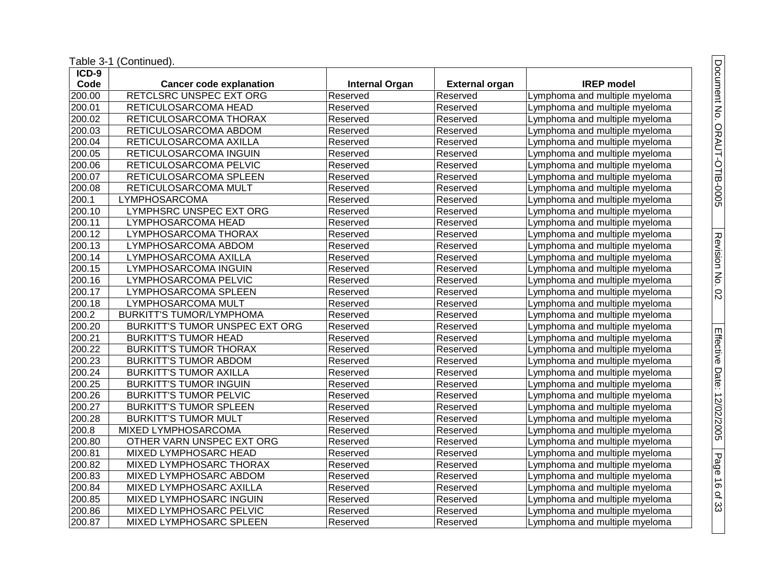| ICD-9               |                                 |                       |                       |                               |
|---------------------|---------------------------------|-----------------------|-----------------------|-------------------------------|
| Code                | <b>Cancer code explanation</b>  | <b>Internal Organ</b> | <b>External organ</b> | <b>IREP</b> model             |
| 200.00              | RETCLSRC UNSPEC EXT ORG         | Reserved              | Reserved              | Lymphoma and multiple myeloma |
| 200.01              | RETICULOSARCOMA HEAD            | Reserved              | Reserved              | Lymphoma and multiple myeloma |
| 200.02              | RETICULOSARCOMA THORAX          | Reserved              | Reserved              | Lymphoma and multiple myeloma |
| 200.03              | RETICULOSARCOMA ABDOM           | Reserved              | Reserved              | Lymphoma and multiple myeloma |
| 200.04              | RETICULOSARCOMA AXILLA          | Reserved              | Reserved              | Lymphoma and multiple myeloma |
| 200.05              | RETICULOSARCOMA INGUIN          | Reserved              | Reserved              | Lymphoma and multiple myeloma |
| 200.06              | RETICULOSARCOMA PELVIC          | Reserved              | Reserved              | Lymphoma and multiple myeloma |
| 200.07              | RETICULOSARCOMA SPLEEN          | Reserved              | Reserved              | Lymphoma and multiple myeloma |
| 200.08              | RETICULOSARCOMA MULT            | Reserved              | Reserved              | Lymphoma and multiple myeloma |
| 200.1               | LYMPHOSARCOMA                   | Reserved              | Reserved              | Lymphoma and multiple myeloma |
| 200.10              | LYMPHSRC UNSPEC EXT ORG         | Reserved              | Reserved              | Lymphoma and multiple myeloma |
| 200.11              | LYMPHOSARCOMA HEAD              | Reserved              | Reserved              | Lymphoma and multiple myeloma |
| 200.12              | LYMPHOSARCOMA THORAX            | Reserved              | Reserved              | Lymphoma and multiple myeloma |
| 200.13              | LYMPHOSARCOMA ABDOM             | Reserved              | Reserved              | Lymphoma and multiple myeloma |
| $\overline{200.14}$ | LYMPHOSARCOMA AXILLA            | Reserved              | Reserved              | Lymphoma and multiple myeloma |
| 200.15              | LYMPHOSARCOMA INGUIN            | Reserved              | Reserved              | Lymphoma and multiple myeloma |
| 200.16              | LYMPHOSARCOMA PELVIC            | Reserved              | Reserved              | Lymphoma and multiple myeloma |
| 200.17              | LYMPHOSARCOMA SPLEEN            | Reserved              | Reserved              | Lymphoma and multiple myeloma |
| 200.18              | LYMPHOSARCOMA MULT              | Reserved              | Reserved              | Lymphoma and multiple myeloma |
| 200.2               | <b>BURKITT'S TUMOR/LYMPHOMA</b> | Reserved              | Reserved              | Lymphoma and multiple myeloma |
| 200.20              | BURKITT'S TUMOR UNSPEC EXT ORG  | Reserved              | Reserved              | Lymphoma and multiple myeloma |
| 200.21              | <b>BURKITT'S TUMOR HEAD</b>     | Reserved              | Reserved              | Lymphoma and multiple myeloma |
| 200.22              | <b>BURKITT'S TUMOR THORAX</b>   | Reserved              | Reserved              | Lymphoma and multiple myeloma |
| 200.23              | <b>BURKITT'S TUMOR ABDOM</b>    | Reserved              | Reserved              | Lymphoma and multiple myeloma |
| 200.24              | <b>BURKITT'S TUMOR AXILLA</b>   | Reserved              | Reserved              | Lymphoma and multiple myeloma |
| 200.25              | <b>BURKITT'S TUMOR INGUIN</b>   | Reserved              | Reserved              | Lymphoma and multiple myeloma |
| 200.26              | <b>BURKITT'S TUMOR PELVIC</b>   | Reserved              | Reserved              | Lymphoma and multiple myeloma |
| 200.27              | <b>BURKITT'S TUMOR SPLEEN</b>   | Reserved              | Reserved              | Lymphoma and multiple myeloma |
| 200.28              | <b>BURKITT'S TUMOR MULT</b>     | Reserved              | Reserved              | Lymphoma and multiple myeloma |
| 200.8               | MIXED LYMPHOSARCOMA             | Reserved              | Reserved              | Lymphoma and multiple myeloma |
| 200.80              | OTHER VARN UNSPEC EXT ORG       | Reserved              | Reserved              | Lymphoma and multiple myeloma |
| 200.81              | <b>MIXED LYMPHOSARC HEAD</b>    | Reserved              | Reserved              | Lymphoma and multiple myeloma |
| 200.82              | MIXED LYMPHOSARC THORAX         | Reserved              | Reserved              | Lymphoma and multiple myeloma |
| 200.83              | MIXED LYMPHOSARC ABDOM          | Reserved              | Reserved              | Lymphoma and multiple myeloma |
| 200.84              | MIXED LYMPHOSARC AXILLA         | Reserved              | Reserved              | Lymphoma and multiple myeloma |
| 200.85              | MIXED LYMPHOSARC INGUIN         | Reserved              | Reserved              | Lymphoma and multiple myeloma |
| 200.86              | MIXED LYMPHOSARC PELVIC         | Reserved              | Reserved              | Lymphoma and multiple myeloma |
| 200.87              | MIXED LYMPHOSARC SPLEEN         | Reserved              | Reserved              | Lymphoma and multiple myeloma |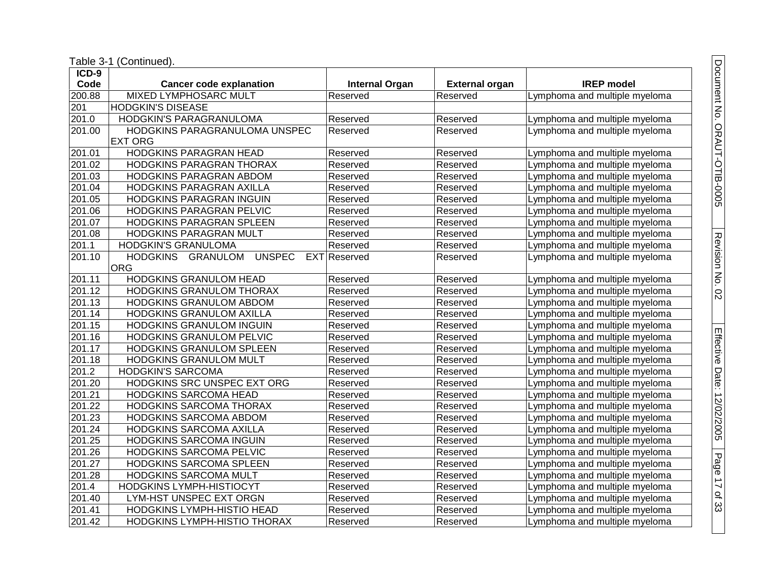| ICD-9              |                                                     |                       |                       |                               |
|--------------------|-----------------------------------------------------|-----------------------|-----------------------|-------------------------------|
| Code               | <b>Cancer code explanation</b>                      | <b>Internal Organ</b> | <b>External organ</b> | <b>IREP</b> model             |
| 200.88             | <b>MIXED LYMPHOSARC MULT</b>                        | Reserved              | Reserved              | Lymphoma and multiple myeloma |
| 201                | <b>HODGKIN'S DISEASE</b>                            |                       |                       |                               |
| $\overline{201.0}$ | <b>HODGKIN'S PARAGRANULOMA</b>                      | Reserved              | Reserved              | Lymphoma and multiple myeloma |
| 201.00             | HODGKINS PARAGRANULOMA UNSPEC                       | Reserved              | Reserved              | Lymphoma and multiple myeloma |
|                    | <b>EXT ORG</b>                                      |                       |                       |                               |
| 201.01             | HODGKINS PARAGRAN HEAD                              | Reserved              | Reserved              | Lymphoma and multiple myeloma |
| 201.02             | HODGKINS PARAGRAN THORAX                            | Reserved              | Reserved              | Lymphoma and multiple myeloma |
| 201.03             | HODGKINS PARAGRAN ABDOM                             | Reserved              | Reserved              | Lymphoma and multiple myeloma |
| 201.04             | HODGKINS PARAGRAN AXILLA                            | Reserved              | Reserved              | Lymphoma and multiple myeloma |
| 201.05             | HODGKINS PARAGRAN INGUIN                            | Reserved              | Reserved              | Lymphoma and multiple myeloma |
| 201.06             | HODGKINS PARAGRAN PELVIC                            | Reserved              | Reserved              | Lymphoma and multiple myeloma |
| 201.07             | HODGKINS PARAGRAN SPLEEN                            | Reserved              | Reserved              | Lymphoma and multiple myeloma |
| 201.08             | HODGKINS PARAGRAN MULT                              | Reserved              | Reserved              | Lymphoma and multiple myeloma |
| 201.1              | HODGKIN'S GRANULOMA                                 | Reserved              | Reserved              | Lymphoma and multiple myeloma |
| 201.10             | <b>UNSPEC</b><br><b>HODGKINS</b><br><b>GRANULOM</b> | EXT Reserved          | Reserved              | Lymphoma and multiple myeloma |
|                    | <b>ORG</b>                                          |                       |                       |                               |
| 201.11             | <b>HODGKINS GRANULOM HEAD</b>                       | Reserved              | Reserved              | Lymphoma and multiple myeloma |
| 201.12             | HODGKINS GRANULOM THORAX                            | Reserved              | Reserved              | Lymphoma and multiple myeloma |
| 201.13             | HODGKINS GRANULOM ABDOM                             | Reserved              | Reserved              | Lymphoma and multiple myeloma |
| 201.14             | HODGKINS GRANULOM AXILLA                            | Reserved              | Reserved              | Lymphoma and multiple myeloma |
| 201.15             | HODGKINS GRANULOM INGUIN                            | Reserved              | Reserved              | Lymphoma and multiple myeloma |
| 201.16             | HODGKINS GRANULOM PELVIC                            | Reserved              | Reserved              | Lymphoma and multiple myeloma |
| 201.17             | HODGKINS GRANULOM SPLEEN                            | Reserved              | Reserved              | Lymphoma and multiple myeloma |
| 201.18             | HODGKINS GRANULOM MULT                              | Reserved              | Reserved              | Lymphoma and multiple myeloma |
| 201.2              | <b>HODGKIN'S SARCOMA</b>                            | Reserved              | Reserved              | Lymphoma and multiple myeloma |
| 201.20             | HODGKINS SRC UNSPEC EXT ORG                         | Reserved              | Reserved              | Lymphoma and multiple myeloma |
| 201.21             | HODGKINS SARCOMA HEAD                               | Reserved              | Reserved              | Lymphoma and multiple myeloma |
| 201.22             | HODGKINS SARCOMA THORAX                             | Reserved              | Reserved              | Lymphoma and multiple myeloma |
| 201.23             | HODGKINS SARCOMA ABDOM                              | Reserved              | Reserved              | Lymphoma and multiple myeloma |
| 201.24             | HODGKINS SARCOMA AXILLA                             | Reserved              | Reserved              | Lymphoma and multiple myeloma |
| 201.25             | <b>HODGKINS SARCOMA INGUIN</b>                      | Reserved              | Reserved              | Lymphoma and multiple myeloma |
| 201.26             | HODGKINS SARCOMA PELVIC                             | Reserved              | Reserved              | Lymphoma and multiple myeloma |
| 201.27             | HODGKINS SARCOMA SPLEEN                             | Reserved              | Reserved              | Lymphoma and multiple myeloma |
| 201.28             | HODGKINS SARCOMA MULT                               | Reserved              | Reserved              | Lymphoma and multiple myeloma |
| 201.4              | HODGKINS LYMPH-HISTIOCYT                            | Reserved              | Reserved              | Lymphoma and multiple myeloma |
| 201.40             | LYM-HST UNSPEC EXT ORGN                             | Reserved              | Reserved              | Lymphoma and multiple myeloma |
| 201.41             | HODGKINS LYMPH-HISTIO HEAD                          | Reserved              | Reserved              | Lymphoma and multiple myeloma |
| 201.42             | HODGKINS LYMPH-HISTIO THORAX                        | Reserved              | Reserved              | Lymphoma and multiple myeloma |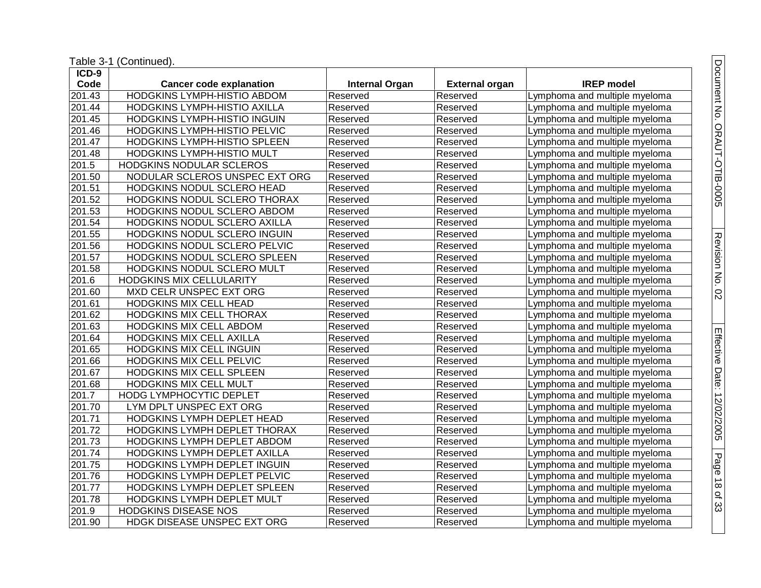| ICD-9  |                                    |                       |                       |                               |
|--------|------------------------------------|-----------------------|-----------------------|-------------------------------|
| Code   | <b>Cancer code explanation</b>     | <b>Internal Organ</b> | <b>External organ</b> | <b>IREP</b> model             |
| 201.43 | <b>HODGKINS LYMPH-HISTIO ABDOM</b> | Reserved              | Reserved              | Lymphoma and multiple myeloma |
| 201.44 | HODGKINS LYMPH-HISTIO AXILLA       | Reserved              | Reserved              | Lymphoma and multiple myeloma |
| 201.45 | HODGKINS LYMPH-HISTIO INGUIN       | Reserved              | Reserved              | Lymphoma and multiple myeloma |
| 201.46 | HODGKINS LYMPH-HISTIO PELVIC       | Reserved              | Reserved              | Lymphoma and multiple myeloma |
| 201.47 | HODGKINS LYMPH-HISTIO SPLEEN       | Reserved              | Reserved              | Lymphoma and multiple myeloma |
| 201.48 | HODGKINS LYMPH-HISTIO MULT         | Reserved              | Reserved              | Lymphoma and multiple myeloma |
| 201.5  | HODGKINS NODULAR SCLEROS           | Reserved              | Reserved              | Lymphoma and multiple myeloma |
| 201.50 | NODULAR SCLEROS UNSPEC EXT ORG     | Reserved              | Reserved              | Lymphoma and multiple myeloma |
| 201.51 | HODGKINS NODUL SCLERO HEAD         | Reserved              | Reserved              | Lymphoma and multiple myeloma |
| 201.52 | HODGKINS NODUL SCLERO THORAX       | Reserved              | Reserved              | Lymphoma and multiple myeloma |
| 201.53 | HODGKINS NODUL SCLERO ABDOM        | Reserved              | Reserved              | Lymphoma and multiple myeloma |
| 201.54 | HODGKINS NODUL SCLERO AXILLA       | Reserved              | Reserved              | Lymphoma and multiple myeloma |
| 201.55 | HODGKINS NODUL SCLERO INGUIN       | Reserved              | Reserved              | Lymphoma and multiple myeloma |
| 201.56 | HODGKINS NODUL SCLERO PELVIC       | Reserved              | Reserved              | Lymphoma and multiple myeloma |
| 201.57 | HODGKINS NODUL SCLERO SPLEEN       | Reserved              | Reserved              | Lymphoma and multiple myeloma |
| 201.58 | HODGKINS NODUL SCLERO MULT         | Reserved              | Reserved              | Lymphoma and multiple myeloma |
| 201.6  | <b>HODGKINS MIX CELLULARITY</b>    | Reserved              | Reserved              | Lymphoma and multiple myeloma |
| 201.60 | MXD CELR UNSPEC EXT ORG            | Reserved              | Reserved              | Lymphoma and multiple myeloma |
| 201.61 | <b>HODGKINS MIX CELL HEAD</b>      | Reserved              | Reserved              | Lymphoma and multiple myeloma |
| 201.62 | HODGKINS MIX CELL THORAX           | Reserved              | Reserved              | Lymphoma and multiple myeloma |
| 201.63 | HODGKINS MIX CELL ABDOM            | Reserved              | Reserved              | Lymphoma and multiple myeloma |
| 201.64 | HODGKINS MIX CELL AXILLA           | Reserved              | Reserved              | Lymphoma and multiple myeloma |
| 201.65 | HODGKINS MIX CELL INGUIN           | Reserved              | Reserved              | Lymphoma and multiple myeloma |
| 201.66 | HODGKINS MIX CELL PELVIC           | Reserved              | Reserved              | Lymphoma and multiple myeloma |
| 201.67 | HODGKINS MIX CELL SPLEEN           | Reserved              | Reserved              | Lymphoma and multiple myeloma |
| 201.68 | HODGKINS MIX CELL MULT             | Reserved              | Reserved              | Lymphoma and multiple myeloma |
| 201.7  | HODG LYMPHOCYTIC DEPLET            | Reserved              | Reserved              | Lymphoma and multiple myeloma |
| 201.70 | LYM DPLT UNSPEC EXT ORG            | Reserved              | Reserved              | Lymphoma and multiple myeloma |
| 201.71 | HODGKINS LYMPH DEPLET HEAD         | Reserved              | Reserved              | Lymphoma and multiple myeloma |
| 201.72 | HODGKINS LYMPH DEPLET THORAX       | Reserved              | Reserved              | Lymphoma and multiple myeloma |
| 201.73 | HODGKINS LYMPH DEPLET ABDOM        | Reserved              | Reserved              | Lymphoma and multiple myeloma |
| 201.74 | HODGKINS LYMPH DEPLET AXILLA       | Reserved              | Reserved              | Lymphoma and multiple myeloma |
| 201.75 | HODGKINS LYMPH DEPLET INGUIN       | Reserved              | Reserved              | Lymphoma and multiple myeloma |
| 201.76 | HODGKINS LYMPH DEPLET PELVIC       | Reserved              | Reserved              | Lymphoma and multiple myeloma |
| 201.77 | HODGKINS LYMPH DEPLET SPLEEN       | Reserved              | Reserved              | Lymphoma and multiple myeloma |
| 201.78 | HODGKINS LYMPH DEPLET MULT         | Reserved              | Reserved              | Lymphoma and multiple myeloma |
| 201.9  | <b>HODGKINS DISEASE NOS</b>        | Reserved              | Reserved              | Lymphoma and multiple myeloma |
| 201.90 | HDGK DISEASE UNSPEC EXT ORG        | Reserved              | Reserved              | Lymphoma and multiple myeloma |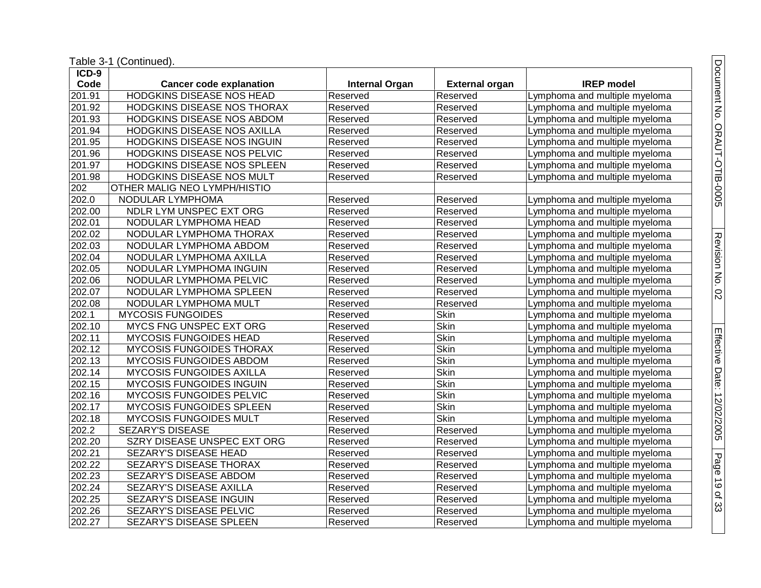| ICD-9               |                                  |                       |                       |                               |
|---------------------|----------------------------------|-----------------------|-----------------------|-------------------------------|
| Code                | <b>Cancer code explanation</b>   | <b>Internal Organ</b> | <b>External organ</b> | <b>IREP</b> model             |
| $\overline{201.91}$ | <b>HODGKINS DISEASE NOS HEAD</b> | Reserved              | Reserved              | Lymphoma and multiple myeloma |
| 201.92              | HODGKINS DISEASE NOS THORAX      | Reserved              | Reserved              | Lymphoma and multiple myeloma |
| 201.93              | HODGKINS DISEASE NOS ABDOM       | Reserved              | Reserved              | Lymphoma and multiple myeloma |
| 201.94              | HODGKINS DISEASE NOS AXILLA      | Reserved              | Reserved              | Lymphoma and multiple myeloma |
| 201.95              | HODGKINS DISEASE NOS INGUIN      | Reserved              | Reserved              | Lymphoma and multiple myeloma |
| 201.96              | HODGKINS DISEASE NOS PELVIC      | Reserved              | Reserved              | Lymphoma and multiple myeloma |
| 201.97              | HODGKINS DISEASE NOS SPLEEN      | Reserved              | Reserved              | Lymphoma and multiple myeloma |
| 201.98              | HODGKINS DISEASE NOS MULT        | Reserved              | Reserved              | Lymphoma and multiple myeloma |
| 202                 | OTHER MALIG NEO LYMPH/HISTIO     |                       |                       |                               |
| 202.0               | NODULAR LYMPHOMA                 | Reserved              | Reserved              | Lymphoma and multiple myeloma |
| 202.00              | NDLR LYM UNSPEC EXT ORG          | Reserved              | Reserved              | Lymphoma and multiple myeloma |
| 202.01              | NODULAR LYMPHOMA HEAD            | Reserved              | Reserved              | Lymphoma and multiple myeloma |
| 202.02              | NODULAR LYMPHOMA THORAX          | Reserved              | Reserved              | Lymphoma and multiple myeloma |
| 202.03              | NODULAR LYMPHOMA ABDOM           | Reserved              | Reserved              | Lymphoma and multiple myeloma |
| 202.04              | NODULAR LYMPHOMA AXILLA          | Reserved              | Reserved              | Lymphoma and multiple myeloma |
| 202.05              | NODULAR LYMPHOMA INGUIN          | Reserved              | Reserved              | Lymphoma and multiple myeloma |
| 202.06              | NODULAR LYMPHOMA PELVIC          | Reserved              | Reserved              | Lymphoma and multiple myeloma |
| 202.07              | NODULAR LYMPHOMA SPLEEN          | Reserved              | Reserved              | Lymphoma and multiple myeloma |
| $\overline{202.08}$ | NODULAR LYMPHOMA MULT            | Reserved              | Reserved              | Lymphoma and multiple myeloma |
| 202.1               | <b>MYCOSIS FUNGOIDES</b>         | Reserved              | Skin                  | Lymphoma and multiple myeloma |
| 202.10              | MYCS FNG UNSPEC EXT ORG          | Reserved              | <b>Skin</b>           | Lymphoma and multiple myeloma |
| 202.11              | <b>MYCOSIS FUNGOIDES HEAD</b>    | Reserved              | <b>Skin</b>           | Lymphoma and multiple myeloma |
| 202.12              | <b>MYCOSIS FUNGOIDES THORAX</b>  | Reserved              | <b>Skin</b>           | Lymphoma and multiple myeloma |
| $\overline{202.13}$ | MYCOSIS FUNGOIDES ABDOM          | Reserved              | <b>Skin</b>           | Lymphoma and multiple myeloma |
| 202.14              | <b>MYCOSIS FUNGOIDES AXILLA</b>  | Reserved              | Skin                  | Lymphoma and multiple myeloma |
| 202.15              | MYCOSIS FUNGOIDES INGUIN         | Reserved              | Skin                  | Lymphoma and multiple myeloma |
| 202.16              | MYCOSIS FUNGOIDES PELVIC         | Reserved              | Skin                  | Lymphoma and multiple myeloma |
| 202.17              | MYCOSIS FUNGOIDES SPLEEN         | Reserved              | Skin                  | Lymphoma and multiple myeloma |
| 202.18              | <b>MYCOSIS FUNGOIDES MULT</b>    | Reserved              | Skin                  | Lymphoma and multiple myeloma |
| $\overline{2}02.2$  | SEZARY'S DISEASE                 | Reserved              | Reserved              | Lymphoma and multiple myeloma |
| 202.20              | SZRY DISEASE UNSPEC EXT ORG      | Reserved              | Reserved              | Lymphoma and multiple myeloma |
| 202.21              | <b>SEZARY'S DISEASE HEAD</b>     | Reserved              | Reserved              | Lymphoma and multiple myeloma |
| 202.22              | <b>SEZARY'S DISEASE THORAX</b>   | Reserved              | Reserved              | Lymphoma and multiple myeloma |
| 202.23              | <b>SEZARY'S DISEASE ABDOM</b>    | Reserved              | Reserved              | Lymphoma and multiple myeloma |
| 202.24              | SEZARY'S DISEASE AXILLA          | Reserved              | Reserved              | Lymphoma and multiple myeloma |
| 202.25              | <b>SEZARY'S DISEASE INGUIN</b>   | Reserved              | Reserved              | Lymphoma and multiple myeloma |
| 202.26              | SEZARY'S DISEASE PELVIC          | Reserved              | Reserved              | Lymphoma and multiple myeloma |
| 202.27              | <b>SEZARY'S DISEASE SPLEEN</b>   | Reserved              | Reserved              | Lymphoma and multiple myeloma |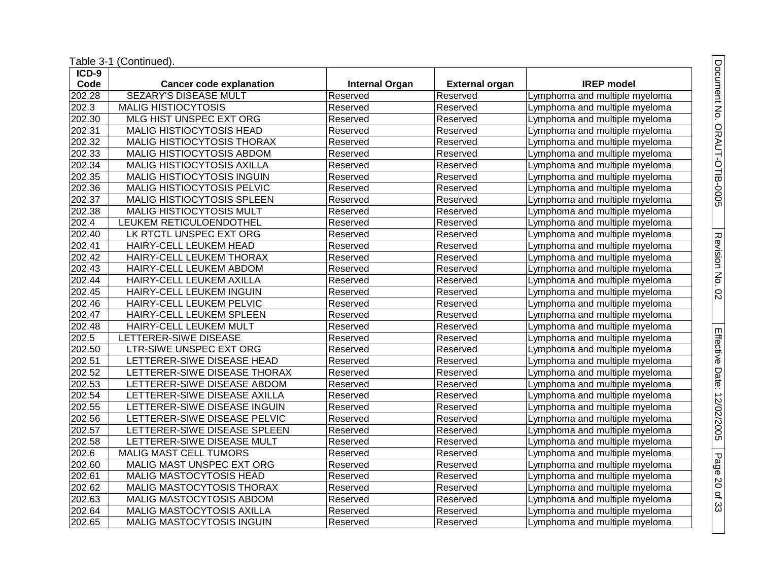| ICD-9               |                                   |                       |                       |                               |
|---------------------|-----------------------------------|-----------------------|-----------------------|-------------------------------|
| Code                | <b>Cancer code explanation</b>    | <b>Internal Organ</b> | <b>External organ</b> | <b>IREP</b> model             |
| 202.28              | <b>SEZARY'S DISEASE MULT</b>      | Reserved              | Reserved              | Lymphoma and multiple myeloma |
| 202.3               | <b>MALIG HISTIOCYTOSIS</b>        | Reserved              | Reserved              | Lymphoma and multiple myeloma |
| 202.30              | MLG HIST UNSPEC EXT ORG           | Reserved              | Reserved              | Lymphoma and multiple myeloma |
| 202.31              | MALIG HISTIOCYTOSIS HEAD          | Reserved              | Reserved              | Lymphoma and multiple myeloma |
| 202.32              | MALIG HISTIOCYTOSIS THORAX        | Reserved              | Reserved              | Lymphoma and multiple myeloma |
| 202.33              | MALIG HISTIOCYTOSIS ABDOM         | Reserved              | Reserved              | Lymphoma and multiple myeloma |
| 202.34              | MALIG HISTIOCYTOSIS AXILLA        | Reserved              | Reserved              | Lymphoma and multiple myeloma |
| 202.35              | <b>MALIG HISTIOCYTOSIS INGUIN</b> | Reserved              | Reserved              | Lymphoma and multiple myeloma |
| 202.36              | <b>MALIG HISTIOCYTOSIS PELVIC</b> | Reserved              | Reserved              | Lymphoma and multiple myeloma |
| 202.37              | MALIG HISTIOCYTOSIS SPLEEN        | Reserved              | Reserved              | Lymphoma and multiple myeloma |
| $\overline{202.38}$ | MALIG HISTIOCYTOSIS MULT          | Reserved              | Reserved              | Lymphoma and multiple myeloma |
| 202.4               | LEUKEM RETICULOENDOTHEL           | Reserved              | Reserved              | Lymphoma and multiple myeloma |
| 202.40              | LK RTCTL UNSPEC EXT ORG           | Reserved              | Reserved              | Lymphoma and multiple myeloma |
| 202.41              | HAIRY-CELL LEUKEM HEAD            | Reserved              | Reserved              | Lymphoma and multiple myeloma |
| 202.42              | HAIRY-CELL LEUKEM THORAX          | Reserved              | Reserved              | Lymphoma and multiple myeloma |
| 202.43              | <b>HAIRY-CELL LEUKEM ABDOM</b>    | Reserved              | Reserved              | Lymphoma and multiple myeloma |
| 202.44              | HAIRY-CELL LEUKEM AXILLA          | Reserved              | Reserved              | Lymphoma and multiple myeloma |
| 202.45              | HAIRY-CELL LEUKEM INGUIN          | Reserved              | Reserved              | Lymphoma and multiple myeloma |
| 202.46              | HAIRY-CELL LEUKEM PELVIC          | Reserved              | Reserved              | Lymphoma and multiple myeloma |
| 202.47              | HAIRY-CELL LEUKEM SPLEEN          | Reserved              | Reserved              | Lymphoma and multiple myeloma |
| 202.48              | HAIRY-CELL LEUKEM MULT            | Reserved              | Reserved              | Lymphoma and multiple myeloma |
| 202.5               | LETTERER-SIWE DISEASE             | Reserved              | Reserved              | Lymphoma and multiple myeloma |
| 202.50              | <b>LTR-SIWE UNSPEC EXT ORG</b>    | Reserved              | Reserved              | Lymphoma and multiple myeloma |
| 202.51              | LETTERER-SIWE DISEASE HEAD        | Reserved              | Reserved              | Lymphoma and multiple myeloma |
| 202.52              | LETTERER-SIWE DISEASE THORAX      | Reserved              | Reserved              | Lymphoma and multiple myeloma |
| 202.53              | LETTERER-SIWE DISEASE ABDOM       | Reserved              | Reserved              | Lymphoma and multiple myeloma |
| 202.54              | LETTERER-SIWE DISEASE AXILLA      | Reserved              | Reserved              | Lymphoma and multiple myeloma |
| 202.55              | LETTERER-SIWE DISEASE INGUIN      | Reserved              | Reserved              | Lymphoma and multiple myeloma |
| 202.56              | LETTERER-SIWE DISEASE PELVIC      | Reserved              | Reserved              | Lymphoma and multiple myeloma |
| 202.57              | LETTERER-SIWE DISEASE SPLEEN      | Reserved              | Reserved              | Lymphoma and multiple myeloma |
| 202.58              | LETTERER-SIWE DISEASE MULT        | Reserved              | Reserved              | Lymphoma and multiple myeloma |
| 202.6               | <b>MALIG MAST CELL TUMORS</b>     | Reserved              | Reserved              | Lymphoma and multiple myeloma |
| 202.60              | MALIG MAST UNSPEC EXT ORG         | Reserved              | Reserved              | Lymphoma and multiple myeloma |
| 202.61              | MALIG MASTOCYTOSIS HEAD           | Reserved              | Reserved              | Lymphoma and multiple myeloma |
| 202.62              | MALIG MASTOCYTOSIS THORAX         | Reserved              | Reserved              | Lymphoma and multiple myeloma |
| 202.63              | MALIG MASTOCYTOSIS ABDOM          | Reserved              | Reserved              | Lymphoma and multiple myeloma |
| 202.64              | MALIG MASTOCYTOSIS AXILLA         | Reserved              | Reserved              | Lymphoma and multiple myeloma |
| 202.65              | <b>MALIG MASTOCYTOSIS INGUIN</b>  | Reserved              | Reserved              | Lymphoma and multiple myeloma |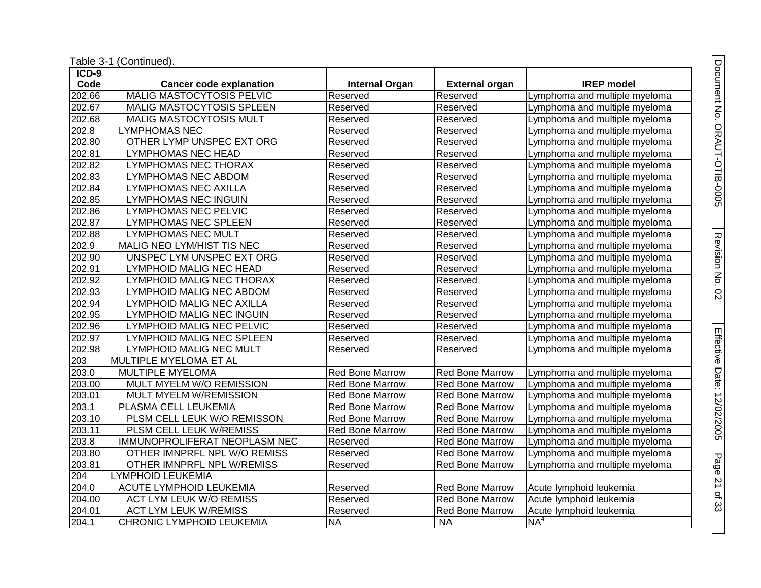| $ICD-9$             |                                  |                        |                        |                               |
|---------------------|----------------------------------|------------------------|------------------------|-------------------------------|
| Code                | <b>Cancer code explanation</b>   | <b>Internal Organ</b>  | <b>External organ</b>  | <b>IREP</b> model             |
| 202.66              | <b>MALIG MASTOCYTOSIS PELVIC</b> | Reserved               | Reserved               | Lymphoma and multiple myeloma |
| 202.67              | MALIG MASTOCYTOSIS SPLEEN        | Reserved               | Reserved               | Lymphoma and multiple myeloma |
| 202.68              | MALIG MASTOCYTOSIS MULT          | Reserved               | Reserved               | Lymphoma and multiple myeloma |
| 202.8               | <b>LYMPHOMAS NEC</b>             | Reserved               | Reserved               | Lymphoma and multiple myeloma |
| 202.80              | OTHER LYMP UNSPEC EXT ORG        | Reserved               | Reserved               | Lymphoma and multiple myeloma |
| 202.81              | <b>LYMPHOMAS NEC HEAD</b>        | Reserved               | Reserved               | Lymphoma and multiple myeloma |
| 202.82              | <b>LYMPHOMAS NEC THORAX</b>      | Reserved               | Reserved               | Lymphoma and multiple myeloma |
| 202.83              | <b>LYMPHOMAS NEC ABDOM</b>       | Reserved               | Reserved               | Lymphoma and multiple myeloma |
| 202.84              | <b>LYMPHOMAS NEC AXILLA</b>      | Reserved               | Reserved               | Lymphoma and multiple myeloma |
| 202.85              | <b>LYMPHOMAS NEC INGUIN</b>      | Reserved               | Reserved               | Lymphoma and multiple myeloma |
| 202.86              | <b>LYMPHOMAS NEC PELVIC</b>      | Reserved               | Reserved               | Lymphoma and multiple myeloma |
| 202.87              | <b>LYMPHOMAS NEC SPLEEN</b>      | Reserved               | Reserved               | Lymphoma and multiple myeloma |
| 202.88              | <b>LYMPHOMAS NEC MULT</b>        | Reserved               | Reserved               | Lymphoma and multiple myeloma |
| 202.9               | MALIG NEO LYM/HIST TIS NEC       | Reserved               | Reserved               | Lymphoma and multiple myeloma |
| 202.90              | UNSPEC LYM UNSPEC EXT ORG        | Reserved               | Reserved               | Lymphoma and multiple myeloma |
| 202.91              | <b>LYMPHOID MALIG NEC HEAD</b>   | Reserved               | Reserved               | Lymphoma and multiple myeloma |
| 202.92              | LYMPHOID MALIG NEC THORAX        | Reserved               | Reserved               | Lymphoma and multiple myeloma |
| 202.93              | LYMPHOID MALIG NEC ABDOM         | Reserved               | Reserved               | Lymphoma and multiple myeloma |
| 202.94              | LYMPHOID MALIG NEC AXILLA        | Reserved               | Reserved               | Lymphoma and multiple myeloma |
| 202.95              | <b>LYMPHOID MALIG NEC INGUIN</b> | Reserved               | Reserved               | Lymphoma and multiple myeloma |
| 202.96              | LYMPHOID MALIG NEC PELVIC        | Reserved               | Reserved               | Lymphoma and multiple myeloma |
| $\overline{202.97}$ | <b>LYMPHOID MALIG NEC SPLEEN</b> | Reserved               | Reserved               | Lymphoma and multiple myeloma |
| 202.98              | <b>LYMPHOID MALIG NEC MULT</b>   | Reserved               | Reserved               | Lymphoma and multiple myeloma |
| 203                 | MULTIPLE MYELOMA ET AL           |                        |                        |                               |
| 203.0               | MULTIPLE MYELOMA                 | <b>Red Bone Marrow</b> | <b>Red Bone Marrow</b> | Lymphoma and multiple myeloma |
| 203.00              | MULT MYELM W/O REMISSION         | <b>Red Bone Marrow</b> | <b>Red Bone Marrow</b> | Lymphoma and multiple myeloma |
| 203.01              | MULT MYELM W/REMISSION           | <b>Red Bone Marrow</b> | <b>Red Bone Marrow</b> | Lymphoma and multiple myeloma |
| 203.1               | PLASMA CELL LEUKEMIA             | <b>Red Bone Marrow</b> | <b>Red Bone Marrow</b> | Lymphoma and multiple myeloma |
| 203.10              | PLSM CELL LEUK W/O REMISSON      | <b>Red Bone Marrow</b> | Red Bone Marrow        | Lymphoma and multiple myeloma |
| 203.11              | PLSM CELL LEUK W/REMISS          | Red Bone Marrow        | <b>Red Bone Marrow</b> | Lymphoma and multiple myeloma |
| 203.8               | IMMUNOPROLIFERAT NEOPLASM NEC    | Reserved               | <b>Red Bone Marrow</b> | Lymphoma and multiple myeloma |
| 203.80              | OTHER IMNPRFL NPL W/O REMISS     | Reserved               | <b>Red Bone Marrow</b> | Lymphoma and multiple myeloma |
| 203.81              | OTHER IMNPRFL NPL W/REMISS       | Reserved               | <b>Red Bone Marrow</b> | Lymphoma and multiple myeloma |
| 204                 | <b>LYMPHOID LEUKEMIA</b>         |                        |                        |                               |
| 204.0               | ACUTE LYMPHOID LEUKEMIA          | Reserved               | <b>Red Bone Marrow</b> | Acute lymphoid leukemia       |
| 204.00              | <b>ACT LYM LEUK W/O REMISS</b>   | Reserved               | <b>Red Bone Marrow</b> | Acute lymphoid leukemia       |
| 204.01              | <b>ACT LYM LEUK W/REMISS</b>     | Reserved               | <b>Red Bone Marrow</b> | Acute lymphoid leukemia       |
| 204.1               | CHRONIC LYMPHOID LEUKEMIA        | <b>NA</b>              | <b>NA</b>              | NA <sup>4</sup>               |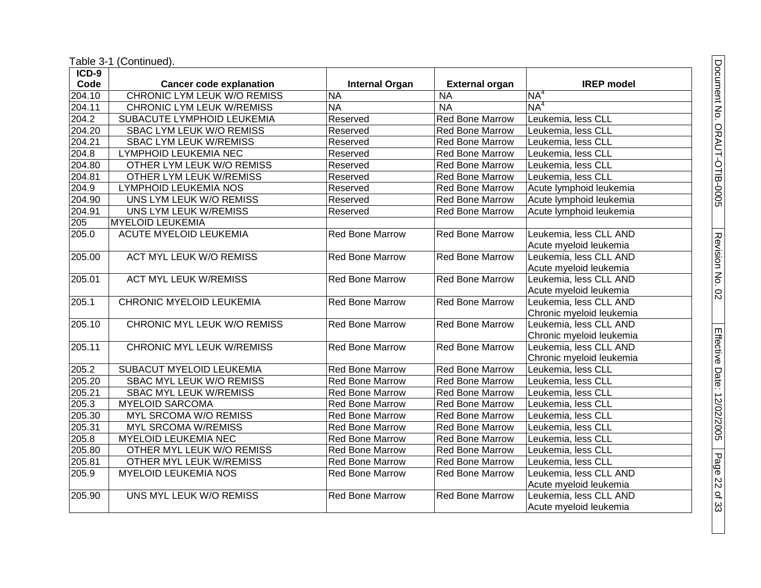| ICD-9  |                                    |                        |                        |                          |
|--------|------------------------------------|------------------------|------------------------|--------------------------|
| Code   | <b>Cancer code explanation</b>     | <b>Internal Organ</b>  | <b>External organ</b>  | <b>IREP</b> model        |
| 204.10 | <b>CHRONIC LYM LEUK W/O REMISS</b> | <b>NA</b>              | <b>NA</b>              | NA <sup>4</sup>          |
| 204.11 | CHRONIC LYM LEUK W/REMISS          | <b>NA</b>              | <b>NA</b>              | NA <sup>4</sup>          |
| 204.2  | SUBACUTE LYMPHOID LEUKEMIA         | Reserved               | <b>Red Bone Marrow</b> | Leukemia, less CLL       |
| 204.20 | SBAC LYM LEUK W/O REMISS           | Reserved               | <b>Red Bone Marrow</b> | Leukemia, less CLL       |
| 204.21 | <b>SBAC LYM LEUK W/REMISS</b>      | Reserved               | Red Bone Marrow        | Leukemia, less CLL       |
| 204.8  | <b>LYMPHOID LEUKEMIA NEC</b>       | Reserved               | <b>Red Bone Marrow</b> | Leukemia, less CLL       |
| 204.80 | OTHER LYM LEUK W/O REMISS          | Reserved               | Red Bone Marrow        | Leukemia, less CLL       |
| 204.81 | OTHER LYM LEUK W/REMISS            | Reserved               | Red Bone Marrow        | Leukemia, less CLL       |
| 204.9  | LYMPHOID LEUKEMIA NOS              | Reserved               | <b>Red Bone Marrow</b> | Acute lymphoid leukemia  |
| 204.90 | UNS LYM LEUK W/O REMISS            | Reserved               | Red Bone Marrow        | Acute lymphoid leukemia  |
| 204.91 | UNS LYM LEUK W/REMISS              | Reserved               | <b>Red Bone Marrow</b> | Acute lymphoid leukemia  |
| 205    | <b>MYELOID LEUKEMIA</b>            |                        |                        |                          |
| 205.0  | <b>ACUTE MYELOID LEUKEMIA</b>      | <b>Red Bone Marrow</b> | <b>Red Bone Marrow</b> | Leukemia, less CLL AND   |
|        |                                    |                        |                        | Acute myeloid leukemia   |
| 205.00 | <b>ACT MYL LEUK W/O REMISS</b>     | <b>Red Bone Marrow</b> | <b>Red Bone Marrow</b> | Leukemia, less CLL AND   |
|        |                                    |                        |                        | Acute myeloid leukemia   |
| 205.01 | <b>ACT MYL LEUK W/REMISS</b>       | <b>Red Bone Marrow</b> | <b>Red Bone Marrow</b> | Leukemia, less CLL AND   |
|        |                                    |                        |                        | Acute myeloid leukemia   |
| 205.1  | <b>CHRONIC MYELOID LEUKEMIA</b>    | <b>Red Bone Marrow</b> | <b>Red Bone Marrow</b> | Leukemia, less CLL AND   |
|        |                                    |                        |                        | Chronic myeloid leukemia |
| 205.10 | CHRONIC MYL LEUK W/O REMISS        | <b>Red Bone Marrow</b> | Red Bone Marrow        | Leukemia, less CLL AND   |
|        |                                    |                        |                        | Chronic myeloid leukemia |
| 205.11 | <b>CHRONIC MYL LEUK W/REMISS</b>   | <b>Red Bone Marrow</b> | <b>Red Bone Marrow</b> | Leukemia, less CLL AND   |
|        |                                    |                        |                        | Chronic myeloid leukemia |
| 205.2  | <b>SUBACUT MYELOID LEUKEMIA</b>    | Red Bone Marrow        | <b>Red Bone Marrow</b> | Leukemia, less CLL       |
| 205.20 | <b>SBAC MYL LEUK W/O REMISS</b>    | Red Bone Marrow        | <b>Red Bone Marrow</b> | Leukemia, less CLL       |
| 205.21 | <b>SBAC MYL LEUK W/REMISS</b>      | Red Bone Marrow        | Red Bone Marrow        | Leukemia, less CLL       |
| 205.3  | <b>MYELOID SARCOMA</b>             | Red Bone Marrow        | Red Bone Marrow        | Leukemia, less CLL       |
| 205.30 | MYL SRCOMA W/O REMISS              | Red Bone Marrow        | Red Bone Marrow        | Leukemia, less CLL       |
| 205.31 | <b>MYL SRCOMA W/REMISS</b>         | Red Bone Marrow        | Red Bone Marrow        | Leukemia, less CLL       |
| 205.8  | <b>MYELOID LEUKEMIA NEC</b>        | <b>Red Bone Marrow</b> | Red Bone Marrow        | Leukemia, less CLL       |
| 205.80 | OTHER MYL LEUK W/O REMISS          | Red Bone Marrow        | <b>Red Bone Marrow</b> | Leukemia, less CLL       |
| 205.81 | OTHER MYL LEUK W/REMISS            | Red Bone Marrow        | Red Bone Marrow        | Leukemia, less CLL       |
| 205.9  | <b>MYELOID LEUKEMIA NOS</b>        | Red Bone Marrow        | <b>Red Bone Marrow</b> | Leukemia, less CLL AND   |
|        |                                    |                        |                        | Acute myeloid leukemia   |
| 205.90 | UNS MYL LEUK W/O REMISS            | <b>Red Bone Marrow</b> | <b>Red Bone Marrow</b> | Leukemia, less CLL AND   |
|        |                                    |                        |                        | Acute myeloid leukemia   |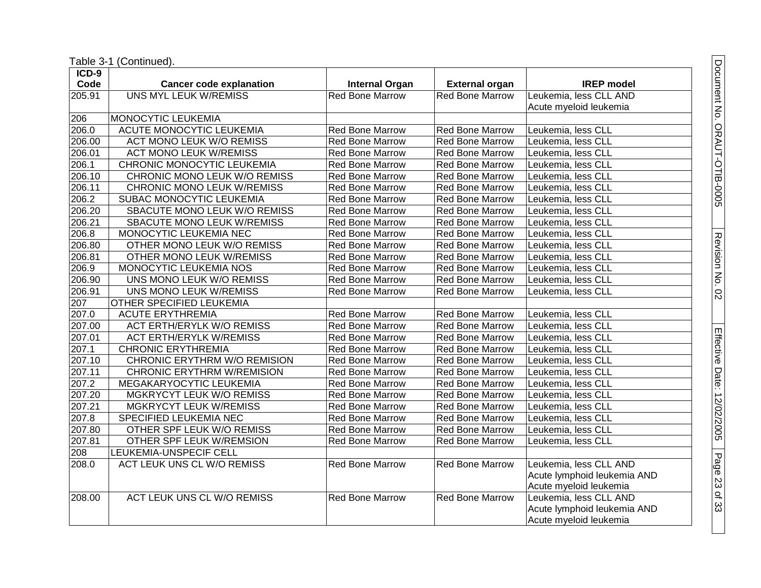| ICD-9  |                                   |                        |                        |                             |
|--------|-----------------------------------|------------------------|------------------------|-----------------------------|
| Code   | <b>Cancer code explanation</b>    | <b>Internal Organ</b>  | <b>External organ</b>  | <b>IREP</b> model           |
| 205.91 | <b>UNS MYL LEUK W/REMISS</b>      | <b>Red Bone Marrow</b> | <b>Red Bone Marrow</b> | Leukemia, less CLL AND      |
|        |                                   |                        |                        | Acute myeloid leukemia      |
| 206    | MONOCYTIC LEUKEMIA                |                        |                        |                             |
| 206.0  | ACUTE MONOCYTIC LEUKEMIA          | <b>Red Bone Marrow</b> | Red Bone Marrow        | Leukemia, less CLL          |
| 206.00 | <b>ACT MONO LEUK W/O REMISS</b>   | <b>Red Bone Marrow</b> | <b>Red Bone Marrow</b> | Leukemia, less CLL          |
| 206.01 | <b>ACT MONO LEUK W/REMISS</b>     | <b>Red Bone Marrow</b> | <b>Red Bone Marrow</b> | Leukemia, less CLL          |
| 206.1  | CHRONIC MONOCYTIC LEUKEMIA        | <b>Red Bone Marrow</b> | <b>Red Bone Marrow</b> | Leukemia, less CLL          |
| 206.10 | CHRONIC MONO LEUK W/O REMISS      | Red Bone Marrow        | Red Bone Marrow        | Leukemia, less CLL          |
| 206.11 | CHRONIC MONO LEUK W/REMISS        | Red Bone Marrow        | Red Bone Marrow        | Leukemia, less CLL          |
| 206.2  | SUBAC MONOCYTIC LEUKEMIA          | <b>Red Bone Marrow</b> | Red Bone Marrow        | Leukemia, less CLL          |
| 206.20 | SBACUTE MONO LEUK W/O REMISS      | <b>Red Bone Marrow</b> | <b>Red Bone Marrow</b> | Leukemia, less CLL          |
| 206.21 | SBACUTE MONO LEUK W/REMISS        | <b>Red Bone Marrow</b> | Red Bone Marrow        | Leukemia, less CLL          |
| 206.8  | MONOCYTIC LEUKEMIA NEC            | <b>Red Bone Marrow</b> | <b>Red Bone Marrow</b> | Leukemia, less CLL          |
| 206.80 | OTHER MONO LEUK W/O REMISS        | <b>Red Bone Marrow</b> | Red Bone Marrow        | Leukemia, less CLL          |
| 206.81 | OTHER MONO LEUK W/REMISS          | Red Bone Marrow        | Red Bone Marrow        | Leukemia, less CLL          |
| 206.9  | MONOCYTIC LEUKEMIA NOS            | <b>Red Bone Marrow</b> | Red Bone Marrow        | Leukemia, less CLL          |
| 206.90 | UNS MONO LEUK W/O REMISS          | <b>Red Bone Marrow</b> | <b>Red Bone Marrow</b> | Leukemia, less CLL          |
| 206.91 | UNS MONO LEUK W/REMISS            | <b>Red Bone Marrow</b> | <b>Red Bone Marrow</b> | Leukemia, less CLL          |
| 207    | OTHER SPECIFIED LEUKEMIA          |                        |                        |                             |
| 207.0  | <b>ACUTE ERYTHREMIA</b>           | <b>Red Bone Marrow</b> | <b>Red Bone Marrow</b> | Leukemia, less CLL          |
| 207.00 | <b>ACT ERTH/ERYLK W/O REMISS</b>  | <b>Red Bone Marrow</b> | <b>Red Bone Marrow</b> | Leukemia, less CLL          |
| 207.01 | <b>ACT ERTH/ERYLK W/REMISS</b>    | Red Bone Marrow        | Red Bone Marrow        | Leukemia, less CLL          |
| 207.1  | <b>CHRONIC ERYTHREMIA</b>         | Red Bone Marrow        | Red Bone Marrow        | Leukemia, less CLL          |
| 207.10 | CHRONIC ERYTHRM W/O REMISION      | <b>Red Bone Marrow</b> | <b>Red Bone Marrow</b> | Leukemia, less CLL          |
| 207.11 | <b>CHRONIC ERYTHRM W/REMISION</b> | <b>Red Bone Marrow</b> | Red Bone Marrow        | Leukemia, less CLL          |
| 207.2  | MEGAKARYOCYTIC LEUKEMIA           | <b>Red Bone Marrow</b> | <b>Red Bone Marrow</b> | Leukemia, less CLL          |
| 207.20 | MGKRYCYT LEUK W/O REMISS          | <b>Red Bone Marrow</b> | Red Bone Marrow        | Leukemia, less CLL          |
| 207.21 | <b>MGKRYCYT LEUK W/REMISS</b>     | <b>Red Bone Marrow</b> | Red Bone Marrow        | Leukemia, less CLL          |
| 207.8  | SPECIFIED LEUKEMIA NEC            | Red Bone Marrow        | <b>Red Bone Marrow</b> | Leukemia, less CLL          |
| 207.80 | OTHER SPF LEUK W/O REMISS         | <b>Red Bone Marrow</b> | <b>Red Bone Marrow</b> | Leukemia, less CLL          |
| 207.81 | OTHER SPF LEUK W/REMSION          | Red Bone Marrow        | Red Bone Marrow        | Leukemia, less CLL          |
| 208    | LEUKEMIA-UNSPECIF CELL            |                        |                        |                             |
| 208.0  | ACT LEUK UNS CL W/O REMISS        | <b>Red Bone Marrow</b> | Red Bone Marrow        | Leukemia, less CLL AND      |
|        |                                   |                        |                        | Acute lymphoid leukemia AND |
|        |                                   |                        |                        | Acute myeloid leukemia      |
| 208.00 | ACT LEUK UNS CL W/O REMISS        | <b>Red Bone Marrow</b> | <b>Red Bone Marrow</b> | Leukemia, less CLL AND      |
|        |                                   |                        |                        | Acute lymphoid leukemia AND |
|        |                                   |                        |                        | Acute myeloid leukemia      |

Document No. ORAUT-OTIB-0005 Document No. ORAUT-OTIB-0005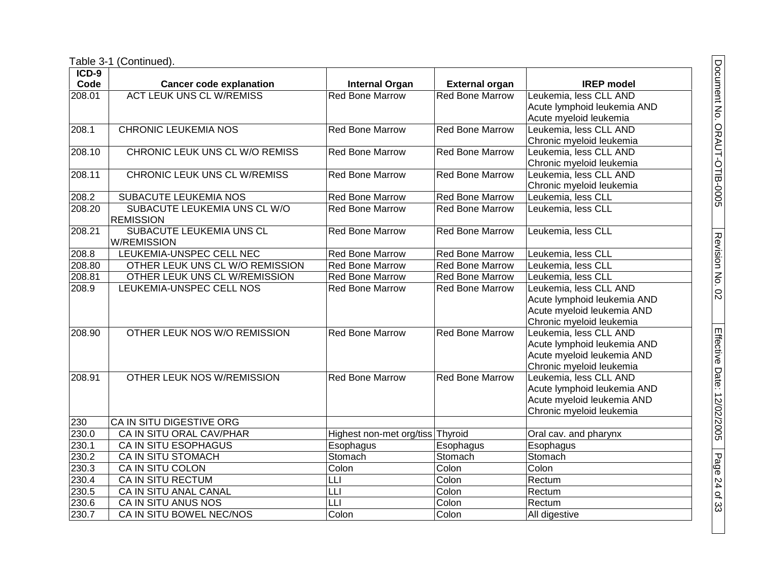| ICD-9  |                                 |                                  |                        |                             |
|--------|---------------------------------|----------------------------------|------------------------|-----------------------------|
| Code   | <b>Cancer code explanation</b>  | <b>Internal Organ</b>            | <b>External organ</b>  | <b>IREP</b> model           |
| 208.01 | <b>ACT LEUK UNS CL W/REMISS</b> | <b>Red Bone Marrow</b>           | <b>Red Bone Marrow</b> | Leukemia, less CLL AND      |
|        |                                 |                                  |                        | Acute lymphoid leukemia AND |
|        |                                 |                                  |                        | Acute myeloid leukemia      |
| 208.1  | <b>CHRONIC LEUKEMIA NOS</b>     | <b>Red Bone Marrow</b>           | <b>Red Bone Marrow</b> | Leukemia, less CLL AND      |
|        |                                 |                                  |                        | Chronic myeloid leukemia    |
| 208.10 | CHRONIC LEUK UNS CL W/O REMISS  | Red Bone Marrow                  | <b>Red Bone Marrow</b> | Leukemia, less CLL AND      |
|        |                                 |                                  |                        | Chronic myeloid leukemia    |
| 208.11 | CHRONIC LEUK UNS CL W/REMISS    | Red Bone Marrow                  | Red Bone Marrow        | Leukemia, less CLL AND      |
|        |                                 |                                  |                        | Chronic myeloid leukemia    |
| 208.2  | <b>SUBACUTE LEUKEMIA NOS</b>    | Red Bone Marrow                  | <b>Red Bone Marrow</b> | Leukemia, less CLL          |
| 208.20 | SUBACUTE LEUKEMIA UNS CL W/O    | <b>Red Bone Marrow</b>           | <b>Red Bone Marrow</b> | Leukemia, less CLL          |
|        | <b>REMISSION</b>                |                                  |                        |                             |
| 208.21 | SUBACUTE LEUKEMIA UNS CL        | <b>Red Bone Marrow</b>           | <b>Red Bone Marrow</b> | Leukemia, less CLL          |
|        | <b>W/REMISSION</b>              |                                  |                        |                             |
| 208.8  | LEUKEMIA-UNSPEC CELL NEC        | <b>Red Bone Marrow</b>           | Red Bone Marrow        | Leukemia, less CLL          |
| 208.80 | OTHER LEUK UNS CL W/O REMISSION | <b>Red Bone Marrow</b>           | <b>Red Bone Marrow</b> | Leukemia, less CLL          |
| 208.81 | OTHER LEUK UNS CL W/REMISSION   | Red Bone Marrow                  | <b>Red Bone Marrow</b> | Leukemia, less CLL          |
| 208.9  | LEUKEMIA-UNSPEC CELL NOS        | <b>Red Bone Marrow</b>           | <b>Red Bone Marrow</b> | Leukemia, less CLL AND      |
|        |                                 |                                  |                        | Acute lymphoid leukemia AND |
|        |                                 |                                  |                        | Acute myeloid leukemia AND  |
|        |                                 |                                  |                        | Chronic myeloid leukemia    |
| 208.90 | OTHER LEUK NOS W/O REMISSION    | <b>Red Bone Marrow</b>           | <b>Red Bone Marrow</b> | Leukemia, less CLL AND      |
|        |                                 |                                  |                        | Acute lymphoid leukemia AND |
|        |                                 |                                  |                        | Acute myeloid leukemia AND  |
|        |                                 |                                  |                        | Chronic myeloid leukemia    |
| 208.91 | OTHER LEUK NOS W/REMISSION      | <b>Red Bone Marrow</b>           | <b>Red Bone Marrow</b> | Leukemia, less CLL AND      |
|        |                                 |                                  |                        | Acute lymphoid leukemia AND |
|        |                                 |                                  |                        | Acute myeloid leukemia AND  |
|        |                                 |                                  |                        | Chronic myeloid leukemia    |
| 230    | CA IN SITU DIGESTIVE ORG        |                                  |                        |                             |
| 230.0  | CA IN SITU ORAL CAV/PHAR        | Highest non-met org/tiss Thyroid |                        | Oral cav. and pharynx       |
| 230.1  | CA IN SITU ESOPHAGUS            | Esophagus                        | Esophagus              | Esophagus                   |
| 230.2  | <b>CA IN SITU STOMACH</b>       | Stomach                          | Stomach                | Stomach                     |
| 230.3  | CA IN SITU COLON                | Colon                            | Colon                  | Colon                       |
| 230.4  | CA IN SITU RECTUM               | L                                | Colon                  | Rectum                      |
| 230.5  | CA IN SITU ANAL CANAL           | LLI                              | Colon                  | Rectum                      |
| 230.6  | CA IN SITU ANUS NOS             | LLI                              | Colon                  | Rectum                      |
| 230.7  | CA IN SITU BOWEL NEC/NOS        | Colon                            | Colon                  | All digestive               |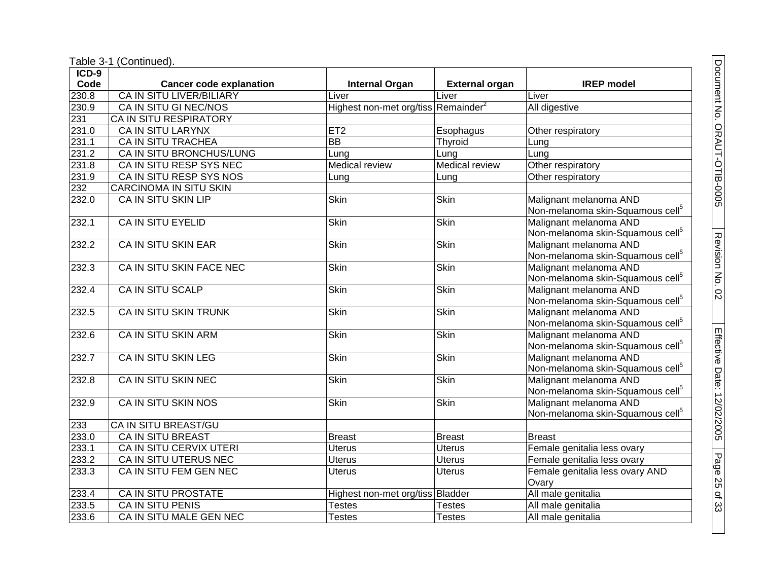| $ICD-9$      |                                 |                                                 |                       |                                              |
|--------------|---------------------------------|-------------------------------------------------|-----------------------|----------------------------------------------|
| Code         | <b>Cancer code explanation</b>  | <b>Internal Organ</b>                           | <b>External organ</b> | <b>IREP</b> model                            |
| 230.8        | <b>CA IN SITU LIVER/BILIARY</b> | Liver                                           | Liver                 | Liver                                        |
| 230.9        | CA IN SITU GI NEC/NOS           | Highest non-met org/tiss Remainder <sup>2</sup> |                       | All digestive                                |
| 231          | <b>CA IN SITU RESPIRATORY</b>   |                                                 |                       |                                              |
| 231.0        | <b>CA IN SITU LARYNX</b>        | ET2                                             | Esophagus             | Other respiratory                            |
| 231.1        | <b>CA IN SITU TRACHEA</b>       | $\overline{BB}$                                 | Thyroid               | Lung                                         |
| 231.2        | CA IN SITU BRONCHUS/LUNG        | Lung                                            | Lung                  | Lung                                         |
| 231.8        | CA IN SITU RESP SYS NEC         | <b>Medical review</b>                           | <b>Medical review</b> | Other respiratory                            |
| 231.9        | CA IN SITU RESP SYS NOS         | Lung                                            | Lung                  | Other respiratory                            |
| 232          | CARCINOMA IN SITU SKIN          |                                                 |                       |                                              |
| 232.0        | <b>CA IN SITU SKIN LIP</b>      | <b>Skin</b>                                     | <b>Skin</b>           | Malignant melanoma AND                       |
|              |                                 |                                                 |                       | Non-melanoma skin-Squamous cell <sup>5</sup> |
| 232.1        | CA IN SITU EYELID               | Skin                                            | <b>Skin</b>           | Malignant melanoma AND                       |
|              |                                 |                                                 |                       | Non-melanoma skin-Squamous cell <sup>5</sup> |
| 232.2        | <b>CA IN SITU SKIN EAR</b>      | Skin                                            | <b>Skin</b>           | Malignant melanoma AND                       |
|              |                                 |                                                 |                       | Non-melanoma skin-Squamous cell <sup>5</sup> |
| 232.3        | CA IN SITU SKIN FACE NEC        | <b>Skin</b>                                     | <b>Skin</b>           | Malignant melanoma AND                       |
|              |                                 |                                                 |                       | Non-melanoma skin-Squamous cell <sup>5</sup> |
| 232.4        | CA IN SITU SCALP                | <b>Skin</b>                                     | <b>Skin</b>           | Malignant melanoma AND                       |
|              |                                 |                                                 |                       | Non-melanoma skin-Squamous cell <sup>5</sup> |
| 232.5        | CA IN SITU SKIN TRUNK           | <b>Skin</b>                                     | Skin                  | Malignant melanoma AND                       |
|              |                                 |                                                 |                       | Non-melanoma skin-Squamous cell <sup>5</sup> |
| 232.6        | <b>CA IN SITU SKIN ARM</b>      | <b>Skin</b>                                     | <b>Skin</b>           | Malignant melanoma AND                       |
|              |                                 |                                                 |                       | Non-melanoma skin-Squamous cell <sup>5</sup> |
| 232.7        | CA IN SITU SKIN LEG             | Skin                                            | Skin                  | Malignant melanoma AND                       |
|              |                                 |                                                 |                       | Non-melanoma skin-Squamous cell <sup>5</sup> |
| 232.8        | <b>CA IN SITU SKIN NEC</b>      | <b>Skin</b>                                     | Skin                  | Malignant melanoma AND                       |
|              |                                 |                                                 |                       | Non-melanoma skin-Squamous cell <sup>5</sup> |
| 232.9        | CA IN SITU SKIN NOS             | <b>Skin</b>                                     | <b>Skin</b>           | Malignant melanoma AND                       |
|              | CA IN SITU BREAST/GU            |                                                 |                       | Non-melanoma skin-Squamous cell <sup>5</sup> |
| 233<br>233.0 | <b>CA IN SITU BREAST</b>        |                                                 |                       |                                              |
| 233.1        |                                 | <b>Breast</b>                                   | <b>Breast</b>         | <b>Breast</b>                                |
|              | CA IN SITU CERVIX UTERI         | <b>Uterus</b>                                   | <b>Uterus</b>         | Female genitalia less ovary                  |
| 233.2        | CA IN SITU UTERUS NEC           | Uterus                                          | <b>Uterus</b>         | Female genitalia less ovary                  |
| 233.3        | CA IN SITU FEM GEN NEC          | <b>Uterus</b>                                   | <b>Uterus</b>         | Female genitalia less ovary AND              |
|              |                                 |                                                 |                       | Ovary                                        |
| 233.4        | <b>CA IN SITU PROSTATE</b>      | Highest non-met org/tiss Bladder                |                       | All male genitalia                           |
| 233.5        | <b>CA IN SITU PENIS</b>         | <b>Testes</b>                                   | <b>Testes</b>         | All male genitalia                           |
| 233.6        | CA IN SITU MALE GEN NEC         | <b>Testes</b>                                   | <b>Testes</b>         | All male genitalia                           |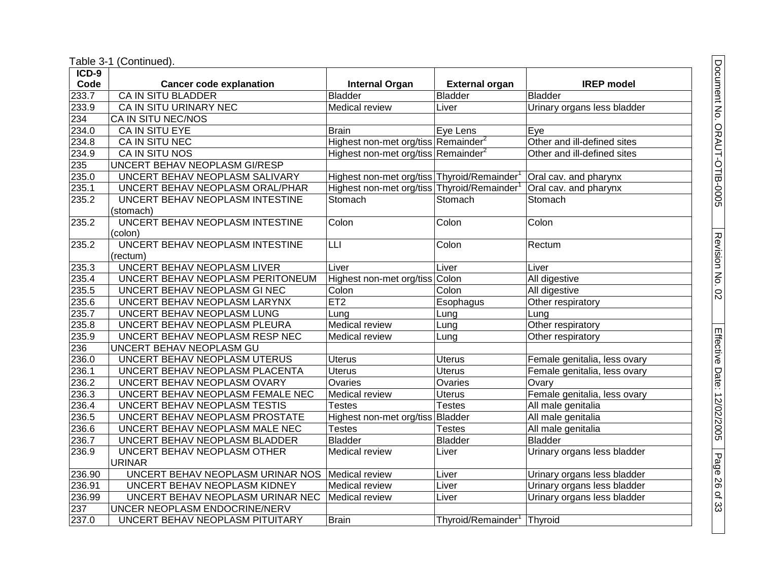Table 3-1 (Continued).

| ICD-9  |                                  |                                                 |                                |                              |
|--------|----------------------------------|-------------------------------------------------|--------------------------------|------------------------------|
| Code   | <b>Cancer code explanation</b>   | <b>Internal Organ</b>                           | <b>External organ</b>          | <b>IREP</b> model            |
| 233.7  | <b>CA IN SITU BLADDER</b>        | <b>Bladder</b>                                  | <b>Bladder</b>                 | <b>Bladder</b>               |
| 233.9  | CA IN SITU URINARY NEC           | Medical review                                  | Liver                          | Urinary organs less bladder  |
| 234    | CA IN SITU NEC/NOS               |                                                 |                                |                              |
| 234.0  | CA IN SITU EYE                   | <b>Brain</b>                                    | Eye Lens                       | Eye                          |
| 234.8  | CA IN SITU NEC                   | Highest non-met org/tiss Remainder <sup>2</sup> |                                | Other and ill-defined sites  |
| 234.9  | CA IN SITU NOS                   | Highest non-met org/tiss Remainder <sup>2</sup> |                                | Other and ill-defined sites  |
| 235    | UNCERT BEHAV NEOPLASM GI/RESP    |                                                 |                                |                              |
| 235.0  | UNCERT BEHAV NEOPLASM SALIVARY   | Highest non-met org/tiss Thyroid/Remainder      |                                | Oral cav. and pharynx        |
| 235.1  | UNCERT BEHAV NEOPLASM ORAL/PHAR  | Highest non-met org/tiss Thyroid/Remainder      |                                | Oral cav. and pharynx        |
| 235.2  | UNCERT BEHAV NEOPLASM INTESTINE  | Stomach                                         | Stomach                        | Stomach                      |
|        | (stomach)                        |                                                 |                                |                              |
| 235.2  | UNCERT BEHAV NEOPLASM INTESTINE  | Colon                                           | Colon                          | Colon                        |
|        | (colon)                          |                                                 |                                |                              |
| 235.2  | UNCERT BEHAV NEOPLASM INTESTINE  | LLI                                             | Colon                          | Rectum                       |
|        | (rectum)                         |                                                 |                                |                              |
| 235.3  | UNCERT BEHAV NEOPLASM LIVER      | Liver                                           | Liver                          | Liver                        |
| 235.4  | UNCERT BEHAV NEOPLASM PERITONEUM | Highest non-met org/tiss Colon                  |                                | All digestive                |
| 235.5  | UNCERT BEHAV NEOPLASM GI NEC     | Colon                                           | Colon                          | All digestive                |
| 235.6  | UNCERT BEHAV NEOPLASM LARYNX     | ET2                                             | Esophagus                      | Other respiratory            |
| 235.7  | UNCERT BEHAV NEOPLASM LUNG       | Lung                                            | Lung                           | Lung                         |
| 235.8  | UNCERT BEHAV NEOPLASM PLEURA     | <b>Medical review</b>                           | Lung                           | Other respiratory            |
| 235.9  | UNCERT BEHAV NEOPLASM RESP NEC   | Medical review                                  | Lung                           | Other respiratory            |
| 236    | UNCERT BEHAV NEOPLASM GU         |                                                 |                                |                              |
| 236.0  | UNCERT BEHAV NEOPLASM UTERUS     | <b>Uterus</b>                                   | <b>Uterus</b>                  | Female genitalia, less ovary |
| 236.1  | UNCERT BEHAV NEOPLASM PLACENTA   | <b>Uterus</b>                                   | <b>Uterus</b>                  | Female genitalia, less ovary |
| 236.2  | UNCERT BEHAV NEOPLASM OVARY      | Ovaries                                         | Ovaries                        | Ovary                        |
| 236.3  | UNCERT BEHAV NEOPLASM FEMALE NEC | Medical review                                  | <b>Uterus</b>                  | Female genitalia, less ovary |
| 236.4  | UNCERT BEHAV NEOPLASM TESTIS     | <b>Testes</b>                                   | <b>Testes</b>                  | All male genitalia           |
| 236.5  | UNCERT BEHAV NEOPLASM PROSTATE   | Highest non-met org/tiss Bladder                |                                | All male genitalia           |
| 236.6  | UNCERT BEHAV NEOPLASM MALE NEC   | <b>Testes</b>                                   | <b>Testes</b>                  | All male genitalia           |
| 236.7  | UNCERT BEHAV NEOPLASM BLADDER    | <b>Bladder</b>                                  | <b>Bladder</b>                 | <b>Bladder</b>               |
| 236.9  | UNCERT BEHAV NEOPLASM OTHER      | Medical review                                  | Liver                          | Urinary organs less bladder  |
|        | <b>URINAR</b>                    |                                                 |                                |                              |
| 236.90 | UNCERT BEHAV NEOPLASM URINAR NOS | Medical review                                  | Liver                          | Urinary organs less bladder  |
| 236.91 | UNCERT BEHAV NEOPLASM KIDNEY     | Medical review                                  | Liver                          | Urinary organs less bladder  |
| 236.99 | UNCERT BEHAV NEOPLASM URINAR NEC | <b>Medical review</b>                           | Liver                          | Urinary organs less bladder  |
| 237    | UNCER NEOPLASM ENDOCRINE/NERV    |                                                 |                                |                              |
| 237.0  | UNCERT BEHAV NEOPLASM PITUITARY  | <b>Brain</b>                                    | Thyroid/Remainder <sup>1</sup> | Thyroid                      |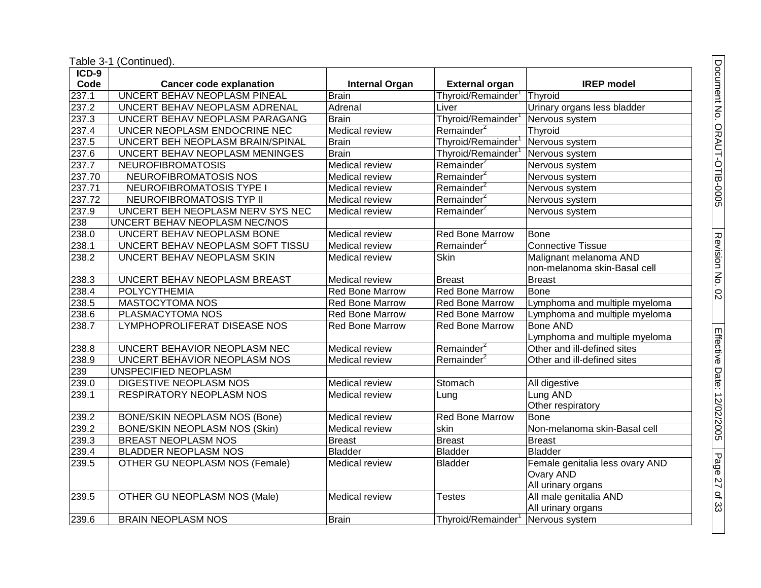| ICD-9              |                                      |                        |                        |                                 |
|--------------------|--------------------------------------|------------------------|------------------------|---------------------------------|
| Code               | <b>Cancer code explanation</b>       | <b>Internal Organ</b>  | <b>External organ</b>  | <b>IREP</b> model               |
| 237.1              | UNCERT BEHAV NEOPLASM PINEAL         | <b>Brain</b>           | Thyroid/Remainder      | Thyroid                         |
| 237.2              | UNCERT BEHAV NEOPLASM ADRENAL        | Adrenal                | Liver                  | Urinary organs less bladder     |
| 237.3              | UNCERT BEHAV NEOPLASM PARAGANG       | <b>Brain</b>           | Thyroid/Remainder      | Nervous system                  |
| 237.4              | UNCER NEOPLASM ENDOCRINE NEC         | <b>Medical review</b>  | Remainder <sup>2</sup> | Thyroid                         |
| 237.5              | UNCERT BEH NEOPLASM BRAIN/SPINAL     | <b>Brain</b>           | Thyroid/Remainder      | Nervous system                  |
| 237.6              | UNCERT BEHAV NEOPLASM MENINGES       | <b>Brain</b>           | Thyroid/Remainder      | Nervous system                  |
| $\overline{237.7}$ | <b>NEUROFIBROMATOSIS</b>             | Medical review         | Remainder <sup>2</sup> | Nervous system                  |
| 237.70             | NEUROFIBROMATOSIS NOS                | Medical review         | Remainder <sup>2</sup> | Nervous system                  |
| 237.71             | NEUROFIBROMATOSIS TYPE I             | <b>Medical review</b>  | Remainder <sup>2</sup> | Nervous system                  |
| 237.72             | NEUROFIBROMATOSIS TYP II             | Medical review         | Remainder <sup>2</sup> | Nervous system                  |
| 237.9              | UNCERT BEH NEOPLASM NERV SYS NEC     | <b>Medical review</b>  | Remainder <sup>2</sup> | Nervous system                  |
| 238                | UNCERT BEHAV NEOPLASM NEC/NOS        |                        |                        |                                 |
| 238.0              | UNCERT BEHAV NEOPLASM BONE           | <b>Medical review</b>  | <b>Red Bone Marrow</b> | Bone                            |
| 238.1              | UNCERT BEHAV NEOPLASM SOFT TISSU     | Medical review         | Remainder <sup>2</sup> | <b>Connective Tissue</b>        |
| 238.2              | UNCERT BEHAV NEOPLASM SKIN           | <b>Medical review</b>  | <b>Skin</b>            | Malignant melanoma AND          |
|                    |                                      |                        |                        | non-melanoma skin-Basal cell    |
| 238.3              | UNCERT BEHAV NEOPLASM BREAST         | <b>Medical review</b>  | <b>Breast</b>          | <b>Breast</b>                   |
| 238.4              | <b>POLYCYTHEMIA</b>                  | Red Bone Marrow        | <b>Red Bone Marrow</b> | <b>Bone</b>                     |
| 238.5              | <b>MASTOCYTOMA NOS</b>               | Red Bone Marrow        | <b>Red Bone Marrow</b> | Lymphoma and multiple myeloma   |
| 238.6              | PLASMACYTOMA NOS                     | <b>Red Bone Marrow</b> | <b>Red Bone Marrow</b> | Lymphoma and multiple myeloma   |
| 238.7              | LYMPHOPROLIFERAT DISEASE NOS         | <b>Red Bone Marrow</b> | <b>Red Bone Marrow</b> | <b>Bone AND</b>                 |
|                    |                                      |                        |                        | Lymphoma and multiple myeloma   |
| 238.8              | UNCERT BEHAVIOR NEOPLASM NEC         | <b>Medical review</b>  | Remainder <sup>2</sup> | Other and ill-defined sites     |
| 238.9              | UNCERT BEHAVIOR NEOPLASM NOS         | Medical review         | Remainder <sup>2</sup> | Other and ill-defined sites     |
| 239                | UNSPECIFIED NEOPLASM                 |                        |                        |                                 |
| 239.0              | DIGESTIVE NEOPLASM NOS               | Medical review         | Stomach                | All digestive                   |
| 239.1              | <b>RESPIRATORY NEOPLASM NOS</b>      | <b>Medical review</b>  | Lung                   | Lung AND                        |
|                    |                                      |                        |                        | Other respiratory               |
| 239.2              | BONE/SKIN NEOPLASM NOS (Bone)        | <b>Medical review</b>  | Red Bone Marrow        | <b>Bone</b>                     |
| 239.2              | <b>BONE/SKIN NEOPLASM NOS (Skin)</b> | Medical review         | skin                   | Non-melanoma skin-Basal cell    |
| 239.3              | <b>BREAST NEOPLASM NOS</b>           | Breast                 | Breast                 | <b>Breast</b>                   |
| 239.4              | <b>BLADDER NEOPLASM NOS</b>          | <b>Bladder</b>         | <b>Bladder</b>         | Bladder                         |
| 239.5              | OTHER GU NEOPLASM NOS (Female)       | <b>Medical review</b>  | <b>Bladder</b>         | Female genitalia less ovary AND |
|                    |                                      |                        |                        | Ovary AND                       |
|                    |                                      |                        |                        | All urinary organs              |
| 239.5              | OTHER GU NEOPLASM NOS (Male)         | <b>Medical review</b>  | <b>Testes</b>          | All male genitalia AND          |
|                    |                                      |                        |                        | All urinary organs              |
| 239.6              | <b>BRAIN NEOPLASM NOS</b>            | Brain                  | Thyroid/Remainder      | Nervous system                  |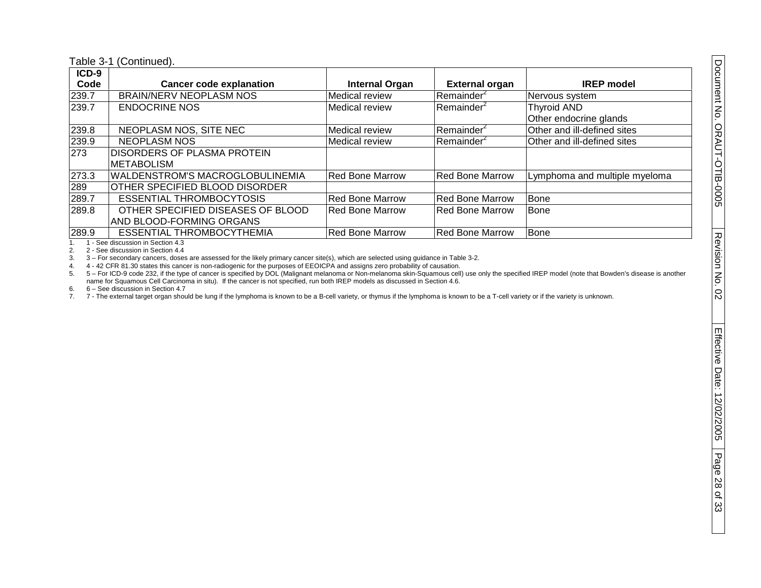| $ICD-9$ |                                        |                        |                        |                               |
|---------|----------------------------------------|------------------------|------------------------|-------------------------------|
| Code    | <b>Cancer code explanation</b>         | <b>Internal Organ</b>  | <b>External organ</b>  | <b>IREP</b> model             |
| 239.7   | <b>BRAIN/NERV NEOPLASM NOS</b>         | Medical review         | Remainder <sup>2</sup> | Nervous system                |
| 239.7   | <b>ENDOCRINE NOS</b>                   | Medical review         | Remainder <sup>2</sup> | <b>Thyroid AND</b>            |
|         |                                        |                        |                        | Other endocrine glands        |
| 239.8   | NEOPLASM NOS, SITE NEC                 | <b>Medical review</b>  | Remainder <sup>2</sup> | Other and ill-defined sites   |
| 239.9   | <b>NEOPLASM NOS</b>                    | Medical review         | Remainder <sup>2</sup> | Other and ill-defined sites   |
| 273     | <b>DISORDERS OF PLASMA PROTEIN</b>     |                        |                        |                               |
|         | <b>METABOLISM</b>                      |                        |                        |                               |
| 273.3   | <b>WALDENSTROM'S MACROGLOBULINEMIA</b> | <b>Red Bone Marrow</b> | <b>Red Bone Marrow</b> | Lymphoma and multiple myeloma |
| 289     | OTHER SPECIFIED BLOOD DISORDER         |                        |                        |                               |
| 289.7   | <b>ESSENTIAL THROMBOCYTOSIS</b>        | Red Bone Marrow        | <b>Red Bone Marrow</b> | Bone                          |
| 289.8   | OTHER SPECIFIED DISEASES OF BLOOD      | <b>Red Bone Marrow</b> | <b>Red Bone Marrow</b> | Bone                          |
|         | AND BLOOD-FORMING ORGANS               |                        |                        |                               |
| 289.9   | ESSENTIAL THROMBOCYTHEMIA              | Red Bone Marrow        | <b>Red Bone Marrow</b> | Bone                          |
|         |                                        |                        |                        |                               |

1. 1 - See discussion in Section 4.3

2. 2 - See discussion in Section 4.4<br>3. 3 - For secondary cancers, doses

3. 3 – For secondary cancers, doses are assessed for the likely primary cancer site(s), which are selected using guidance in Table 3-2.<br>4. 4 - 42 CFR 81.30 states this cancer is non-radiogenic for the purposes of EEOICPA a

4. 4 - 42 CFR 81.30 states this cancer is non-radiogenic for the purposes of EEOICPA and assigns zero probability of causation.

5. 5 – For ICD-9 code 232, if the type of cancer is specified by DOL (Malignant melanoma or Non-melanoma skin-Squamous cell) use only the specified IREP model (note that Bowden's disease is another name for Squamous Cell Carcinoma in situ). If the cancer is not specified, run both IREP models as discussed in Section 4.6.

6. 6 – See discussion in Section 4.7

7. 7 - The external target organ should be lung if the lymphoma is known to be a B-cell variety, or thymus if the lymphoma is known to be a T-cell variety or if the variety is unknown.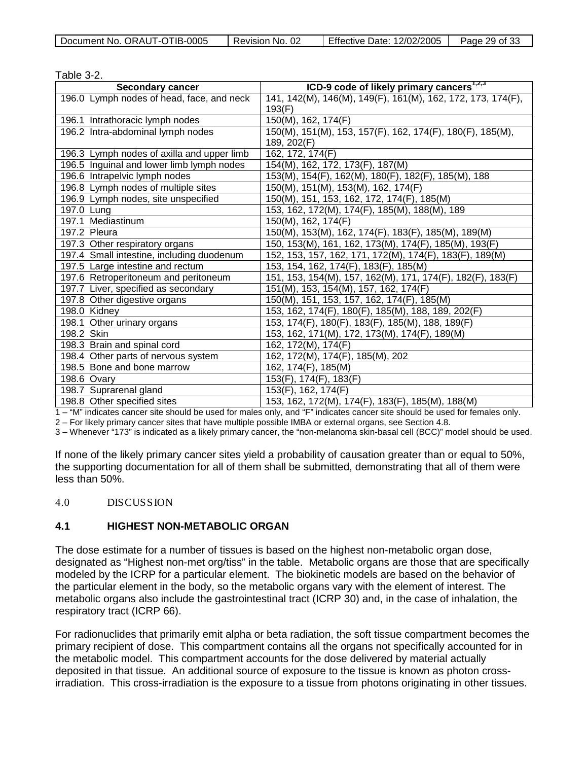|  | Document No. ORAUT-OTIB-0005 | Revision No. 02 | Effective Date: 12/02/2005 | Page 29 of 33 |
|--|------------------------------|-----------------|----------------------------|---------------|
|--|------------------------------|-----------------|----------------------------|---------------|

| Table 3-2.                                 |                                                             |
|--------------------------------------------|-------------------------------------------------------------|
| <b>Secondary cancer</b>                    | ICD-9 code of likely primary cancers <sup>1,2,3</sup>       |
| 196.0 Lymph nodes of head, face, and neck  | 141, 142(M), 146(M), 149(F), 161(M), 162, 172, 173, 174(F), |
|                                            | 193(F)                                                      |
| 196.1 Intrathoracic lymph nodes            | 150(M), 162, 174(F)                                         |
| 196.2 Intra-abdominal lymph nodes          | 150(M), 151(M), 153, 157(F), 162, 174(F), 180(F), 185(M),   |
|                                            | 189, 202(F)                                                 |
| 196.3 Lymph nodes of axilla and upper limb | 162, 172, 174(F)                                            |
| 196.5 Inguinal and lower limb lymph nodes  | 154(M), 162, 172, 173(F), 187(M)                            |
| 196.6 Intrapelvic lymph nodes              | 153(M), 154(F), 162(M), 180(F), 182(F), 185(M), 188         |
| 196.8 Lymph nodes of multiple sites        | 150(M), 151(M), 153(M), 162, 174(F)                         |
| 196.9 Lymph nodes, site unspecified        | 150(M), 151, 153, 162, 172, 174(F), 185(M)                  |
| 197.0 Lung                                 | 153, 162, 172(M), 174(F), 185(M), 188(M), 189               |
| 197.1 Mediastinum                          | 150(M), 162, 174(F)                                         |
| 197.2 Pleura                               | 150(M), 153(M), 162, 174(F), 183(F), 185(M), 189(M)         |
| 197.3 Other respiratory organs             | 150, 153(M), 161, 162, 173(M), 174(F), 185(M), 193(F)       |
| 197.4 Small intestine, including duodenum  | 152, 153, 157, 162, 171, 172(M), 174(F), 183(F), 189(M)     |
| 197.5 Large intestine and rectum           | 153, 154, 162, 174(F), 183(F), 185(M)                       |
| 197.6 Retroperitoneum and peritoneum       | 151, 153, 154(M), 157, 162(M), 171, 174(F), 182(F), 183(F)  |
| 197.7 Liver, specified as secondary        | 151(M), 153, 154(M), 157, 162, 174(F)                       |
| 197.8 Other digestive organs               | 150(M), 151, 153, 157, 162, 174(F), 185(M)                  |
| 198.0 Kidney                               | 153, 162, 174(F), 180(F), 185(M), 188, 189, 202(F)          |
| 198.1 Other urinary organs                 | 153, 174(F), 180(F), 183(F), 185(M), 188, 189(F)            |
| 198.2 Skin                                 | 153, 162, 171(M), 172, 173(M), 174(F), 189(M)               |
| 198.3 Brain and spinal cord                | 162, 172(M), 174(F)                                         |
| 198.4 Other parts of nervous system        | 162, 172(M), 174(F), 185(M), 202                            |
| 198.5 Bone and bone marrow                 | 162, 174(F), 185(M)                                         |
| 198.6 Ovary                                | 153(F), 174(F), 183(F)                                      |
| 198.7 Suprarenal gland                     | 153(F), 162, 174(F)                                         |
| 198.8 Other specified sites                | 153, 162, 172(M), 174(F), 183(F), 185(M), 188(M)            |

1 – "M" indicates cancer site should be used for males only, and "F" indicates cancer site should be used for females only.

2 – For likely primary cancer sites that have multiple possible IMBA or external organs, see Section 4.8.

3 – Whenever "173" is indicated as a likely primary cancer, the "non-melanoma skin-basal cell (BCC)" model should be used.

If none of the likely primary cancer sites yield a probability of causation greater than or equal to 50%, the supporting documentation for all of them shall be submitted, demonstrating that all of them were less than 50%.

#### 4.0 DISCUSSION

#### **4.1 HIGHEST NON-METABOLIC ORGAN**

The dose estimate for a number of tissues is based on the highest non-metabolic organ dose, designated as "Highest non-met org/tiss" in the table. Metabolic organs are those that are specifically modeled by the ICRP for a particular element. The biokinetic models are based on the behavior of the particular element in the body, so the metabolic organs vary with the element of interest. The metabolic organs also include the gastrointestinal tract (ICRP 30) and, in the case of inhalation, the respiratory tract (ICRP 66).

For radionuclides that primarily emit alpha or beta radiation, the soft tissue compartment becomes the primary recipient of dose. This compartment contains all the organs not specifically accounted for in the metabolic model. This compartment accounts for the dose delivered by material actually deposited in that tissue. An additional source of exposure to the tissue is known as photon crossirradiation. This cross-irradiation is the exposure to a tissue from photons originating in other tissues.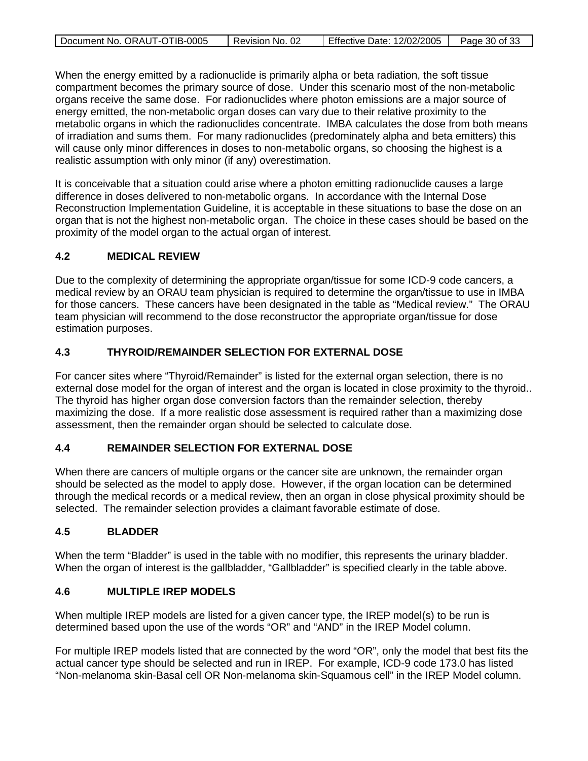| Document No. ORAUT-OTIB-0005 | ⊟ Revision No. 02 | Effective Date: 12/02/2005   Page 30 of 33 |  |
|------------------------------|-------------------|--------------------------------------------|--|

When the energy emitted by a radionuclide is primarily alpha or beta radiation, the soft tissue compartment becomes the primary source of dose. Under this scenario most of the non-metabolic organs receive the same dose. For radionuclides where photon emissions are a major source of energy emitted, the non-metabolic organ doses can vary due to their relative proximity to the metabolic organs in which the radionuclides concentrate. IMBA calculates the dose from both means of irradiation and sums them. For many radionuclides (predominately alpha and beta emitters) this will cause only minor differences in doses to non-metabolic organs, so choosing the highest is a realistic assumption with only minor (if any) overestimation.

It is conceivable that a situation could arise where a photon emitting radionuclide causes a large difference in doses delivered to non-metabolic organs. In accordance with the Internal Dose Reconstruction Implementation Guideline, it is acceptable in these situations to base the dose on an organ that is not the highest non-metabolic organ. The choice in these cases should be based on the proximity of the model organ to the actual organ of interest.

## **4.2 MEDICAL REVIEW**

Due to the complexity of determining the appropriate organ/tissue for some ICD-9 code cancers, a medical review by an ORAU team physician is required to determine the organ/tissue to use in IMBA for those cancers. These cancers have been designated in the table as "Medical review." The ORAU team physician will recommend to the dose reconstructor the appropriate organ/tissue for dose estimation purposes.

## **4.3 THYROID/REMAINDER SELECTION FOR EXTERNAL DOSE**

For cancer sites where "Thyroid/Remainder" is listed for the external organ selection, there is no external dose model for the organ of interest and the organ is located in close proximity to the thyroid.. The thyroid has higher organ dose conversion factors than the remainder selection, thereby maximizing the dose. If a more realistic dose assessment is required rather than a maximizing dose assessment, then the remainder organ should be selected to calculate dose.

### **4.4 REMAINDER SELECTION FOR EXTERNAL DOSE**

When there are cancers of multiple organs or the cancer site are unknown, the remainder organ should be selected as the model to apply dose. However, if the organ location can be determined through the medical records or a medical review, then an organ in close physical proximity should be selected. The remainder selection provides a claimant favorable estimate of dose.

### **4.5 BLADDER**

When the term "Bladder" is used in the table with no modifier, this represents the urinary bladder. When the organ of interest is the gallbladder, "Gallbladder" is specified clearly in the table above.

### **4.6 MULTIPLE IREP MODELS**

When multiple IREP models are listed for a given cancer type, the IREP model(s) to be run is determined based upon the use of the words "OR" and "AND" in the IREP Model column.

For multiple IREP models listed that are connected by the word "OR", only the model that best fits the actual cancer type should be selected and run in IREP. For example, ICD-9 code 173.0 has listed "Non-melanoma skin-Basal cell OR Non-melanoma skin-Squamous cell" in the IREP Model column.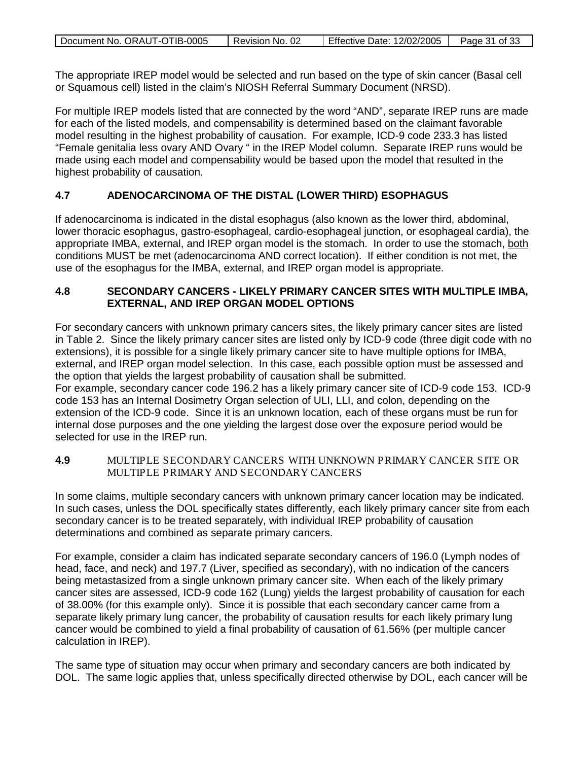| Document No. ORAUT-OTIB-0005 | Revision No. 02 | <b>Effective Date: 12/02/2005</b> | Page 31 of 33 |
|------------------------------|-----------------|-----------------------------------|---------------|
|                              |                 |                                   |               |

The appropriate IREP model would be selected and run based on the type of skin cancer (Basal cell or Squamous cell) listed in the claim's NIOSH Referral Summary Document (NRSD).

For multiple IREP models listed that are connected by the word "AND", separate IREP runs are made for each of the listed models, and compensability is determined based on the claimant favorable model resulting in the highest probability of causation. For example, ICD-9 code 233.3 has listed "Female genitalia less ovary AND Ovary " in the IREP Model column. Separate IREP runs would be made using each model and compensability would be based upon the model that resulted in the highest probability of causation.

## **4.7 ADENOCARCINOMA OF THE DISTAL (LOWER THIRD) ESOPHAGUS**

If adenocarcinoma is indicated in the distal esophagus (also known as the lower third, abdominal, lower thoracic esophagus, gastro-esophageal, cardio-esophageal junction, or esophageal cardia), the appropriate IMBA, external, and IREP organ model is the stomach. In order to use the stomach, both conditions **MUST** be met (adenocarcinoma AND correct location). If either condition is not met, the use of the esophagus for the IMBA, external, and IREP organ model is appropriate.

#### **4.8 SECONDARY CANCERS - LIKELY PRIMARY CANCER SITES WITH MULTIPLE IMBA, EXTERNAL, AND IREP ORGAN MODEL OPTIONS**

For secondary cancers with unknown primary cancers sites, the likely primary cancer sites are listed in Table 2. Since the likely primary cancer sites are listed only by ICD-9 code (three digit code with no extensions), it is possible for a single likely primary cancer site to have multiple options for IMBA, external, and IREP organ model selection. In this case, each possible option must be assessed and the option that yields the largest probability of causation shall be submitted. For example, secondary cancer code 196.2 has a likely primary cancer site of ICD-9 code 153. ICD-9 code 153 has an Internal Dosimetry Organ selection of ULI, LLI, and colon, depending on the extension of the ICD-9 code. Since it is an unknown location, each of these organs must be run for internal dose purposes and the one yielding the largest dose over the exposure period would be selected for use in the IREP run.

#### **4.9** MULTIPLE SECONDARY CANCERS WITH UNKNOWN PRIMARY CANCER SITE OR MULTIPLE PRIMARY AND SECONDARY CANCERS

In some claims, multiple secondary cancers with unknown primary cancer location may be indicated. In such cases, unless the DOL specifically states differently, each likely primary cancer site from each secondary cancer is to be treated separately, with individual IREP probability of causation determinations and combined as separate primary cancers.

For example, consider a claim has indicated separate secondary cancers of 196.0 (Lymph nodes of head, face, and neck) and 197.7 (Liver, specified as secondary), with no indication of the cancers being metastasized from a single unknown primary cancer site. When each of the likely primary cancer sites are assessed, ICD-9 code 162 (Lung) yields the largest probability of causation for each of 38.00% (for this example only). Since it is possible that each secondary cancer came from a separate likely primary lung cancer, the probability of causation results for each likely primary lung cancer would be combined to yield a final probability of causation of 61.56% (per multiple cancer calculation in IREP).

The same type of situation may occur when primary and secondary cancers are both indicated by DOL. The same logic applies that, unless specifically directed otherwise by DOL, each cancer will be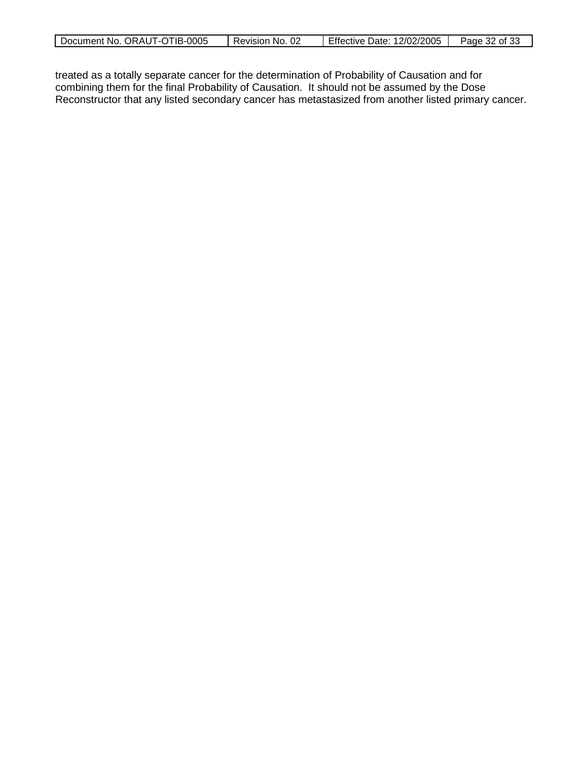| Document No. ORAUT-OTIB-0005 | Revision<br>No. | Effective Date: 12/02/2005 | . of 33<br>Page :<br>າາ<br>ےد |
|------------------------------|-----------------|----------------------------|-------------------------------|

treated as a totally separate cancer for the determination of Probability of Causation and for combining them for the final Probability of Causation. It should not be assumed by the Dose Reconstructor that any listed secondary cancer has metastasized from another listed primary cancer.